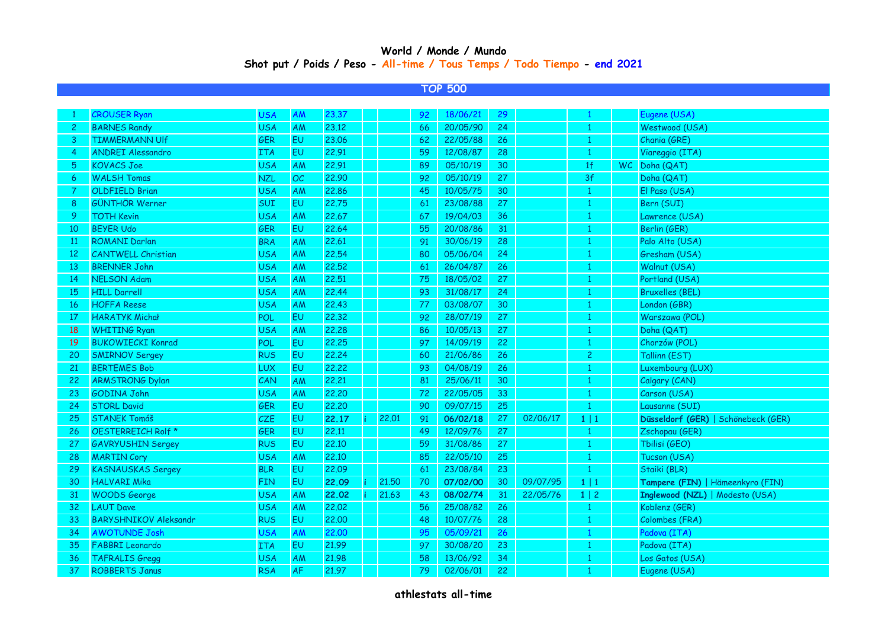## **Shot put / Poids / Peso - All-time / Tous Temps / Todo Tiempo - end 2021 World / Monde / Mundo**

## **TOP 500**

|              | <b>CROUSER Ryan</b>          | <b>USA</b> | AM        | 23.37 |       | 92 | 18/06/21 | 29 |          |                |     | Eugene (USA)                        |
|--------------|------------------------------|------------|-----------|-------|-------|----|----------|----|----------|----------------|-----|-------------------------------------|
| $\mathbf{2}$ | <b>BARNES Randy</b>          | <b>USA</b> | AM        | 23.12 |       | 66 | 20/05/90 | 24 |          | 1              |     | Westwood (USA)                      |
| 3            | <b>TIMMERMANN UIf</b>        | GER        | <b>EU</b> | 23,06 |       | 62 | 22/05/88 | 26 |          |                |     | Chania (GRE)                        |
| 4            | <b>ANDREI Alessandro</b>     | <b>ITA</b> | <b>EU</b> | 22.91 |       | 59 | 12/08/87 | 28 |          |                |     | Viareggio (ITA)                     |
| 5            | <b>KOVACS Joe</b>            | <b>USA</b> | AM        | 22.91 |       | 89 | 05/10/19 | 30 |          | 1 <sup>f</sup> | WC. | Doha (QAT)                          |
| 6            | <b>WALSH Tomas</b>           | <b>NZL</b> | OC        | 22.90 |       | 92 | 05/10/19 | 27 |          | 3f             |     | Doha (QAT)                          |
|              | <b>OLDFIELD Brian</b>        | <b>USA</b> | AM        | 22.86 |       | 45 | 10/05/75 | 30 |          |                |     | El Paso (USA)                       |
| 8            | <b>GÜNTHÖR Werner</b>        | SUI        | EU        | 22.75 |       | 61 | 23/08/88 | 27 |          |                |     | Bern (SUI)                          |
| 9            | <b>TOTH Kevin</b>            | <b>USA</b> | AM        | 22.67 |       | 67 | 19/04/03 | 36 |          |                |     | Lawrence (USA)                      |
| 10           | <b>BEYER Udo</b>             | GER        | EU        | 22.64 |       | 55 | 20/08/86 | 31 |          |                |     | Berlin (GER)                        |
| 11           | <b>ROMANI Darlan</b>         | <b>BRA</b> | AM        | 22.61 |       | 91 | 30/06/19 | 28 |          | 1              |     | Palo Alto (USA)                     |
| 12           | <b>CANTWELL Christian</b>    | <b>USA</b> | AM        | 22.54 |       | 80 | 05/06/04 | 24 |          | $\overline{1}$ |     | Gresham (USA)                       |
| 13           | <b>BRENNER John</b>          | <b>USA</b> | AM        | 22,52 |       | 61 | 26/04/87 | 26 |          | 1              |     | Walnut (USA)                        |
| 14           | <b>NELSON Adam</b>           | <b>USA</b> | AM        | 22,51 |       | 75 | 18/05/02 | 27 |          | -1             |     | Portland (USA)                      |
| 15           | <b>HILL Darrell</b>          | <b>USA</b> | AM        | 22.44 |       | 93 | 31/08/17 | 24 |          | 1              |     | <b>Bruxelles (BEL)</b>              |
| 16           | <b>HOFFA Reese</b>           | <b>USA</b> | AM        | 22.43 |       | 77 | 03/08/07 | 30 |          | -1             |     | London (GBR)                        |
| 17           | <b>HARATYK Michał</b>        | POL        | EU        | 22,32 |       | 92 | 28/07/19 | 27 |          | $\overline{1}$ |     | Warszawa (POL)                      |
| 18           | <b>WHITING Ryan</b>          | <b>USA</b> | <b>AM</b> | 22,28 |       | 86 | 10/05/13 | 27 |          | 1              |     | Doha (QAT)                          |
| 19           | <b>BUKOWIECKI Konrad</b>     | POL        | <b>EU</b> | 22,25 |       | 97 | 14/09/19 | 22 |          | 1              |     | Chorzów (POL)                       |
| 20           | <b>SMIRNOV Sergey</b>        | <b>RUS</b> | EU        | 22.24 |       | 60 | 21/06/86 | 26 |          | $\overline{c}$ |     | Tallinn (EST)                       |
| 21           | <b>BERTEMES Bob</b>          | <b>LUX</b> | EU        | 22,22 |       | 93 | 04/08/19 | 26 |          | 1              |     | Luxembourg (LUX)                    |
| 22           | <b>ARMSTRONG Dylan</b>       | CAN        | AM        | 22,21 |       | 81 | 25/06/11 | 30 |          | $\mathbf{1}$   |     | Calgary (CAN)                       |
| 23           | GODINA John                  | <b>USA</b> | AM        | 22,20 |       | 72 | 22/05/05 | 33 |          | 1              |     | Carson (USA)                        |
| 24           | <b>STORL David</b>           | <b>GER</b> | <b>EU</b> | 22,20 |       | 90 | 09/07/15 | 25 |          | 1              |     | Lausanne (SUI)                      |
| 25           | <b>STANEK Tomáš</b>          | CZE        | EU        | 22.17 | 22.01 | 91 | 06/02/18 | 27 | 02/06/17 | $1 \mid 1$     |     | Düsseldorf (GER)   Schönebeck (GER) |
| 26           | OESTERREICH Rolf *           | <b>GER</b> | EU        | 22.11 |       | 49 | 12/09/76 | 27 |          | 1              |     | Zschopau (GER)                      |
| 27           | <b>GAVRYUSHIN Sergey</b>     | <b>RUS</b> | EU        | 22,10 |       | 59 | 31/08/86 | 27 |          | 1              |     | Tbilisi (GEO)                       |
| 28           | <b>MARTIN Cory</b>           | <b>USA</b> | AM        | 22,10 |       | 85 | 22/05/10 | 25 |          | 1              |     | Tucson (USA)                        |
| 29           | <b>KASNAUSKAS Sergey</b>     | <b>BLR</b> | EU        | 22.09 |       | 61 | 23/08/84 | 23 |          | 1              |     | Staiki (BLR)                        |
| 30           | <b>HALVARI Mika</b>          | FIN        | EU        | 22.09 | 21.50 | 70 | 07/02/00 | 30 | 09/07/95 | $1 \mid 1$     |     | Tampere (FIN)   Hämeenkyro (FIN)    |
| 31           | <b>WOODS</b> George          | <b>USA</b> | AM        | 22.02 | 21.63 | 43 | 08/02/74 | 31 | 22/05/76 | $1 \mid 2$     |     | Inglewood (NZL)   Modesto (USA)     |
| 32           | <b>LAUT Dave</b>             | <b>USA</b> | AM        | 22,02 |       | 56 | 25/08/82 | 26 |          | $\mathbf{1}$   |     | Koblenz (GER)                       |
| 33           | <b>BARYSHNIKOV Aleksandr</b> | <b>RUS</b> | <b>EU</b> | 22.00 |       | 48 | 10/07/76 | 28 |          | 1              |     | Colombes (FRA)                      |
| 34           | <b>AWOTUNDE Josh</b>         | <b>USA</b> | AM        | 22,00 |       | 95 | 05/09/21 | 26 |          | -1             |     | Padova (ITA)                        |
| 35           | <b>FABBRI</b> Leonardo       | <b>ITA</b> | EU        | 21.99 |       | 97 | 30/08/20 | 23 |          |                |     | Padova (ITA)                        |
| 36           | <b>TAFRALIS Gregg</b>        | <b>USA</b> | AM        | 21.98 |       | 58 | 13/06/92 | 34 |          | -1             |     | Los Gatos (USA)                     |
| 37           | <b>ROBBERTS Janus</b>        | <b>RSA</b> | <b>AF</b> | 21.97 |       | 79 | 02/06/01 | 22 |          | 1              |     | Eugene (USA)                        |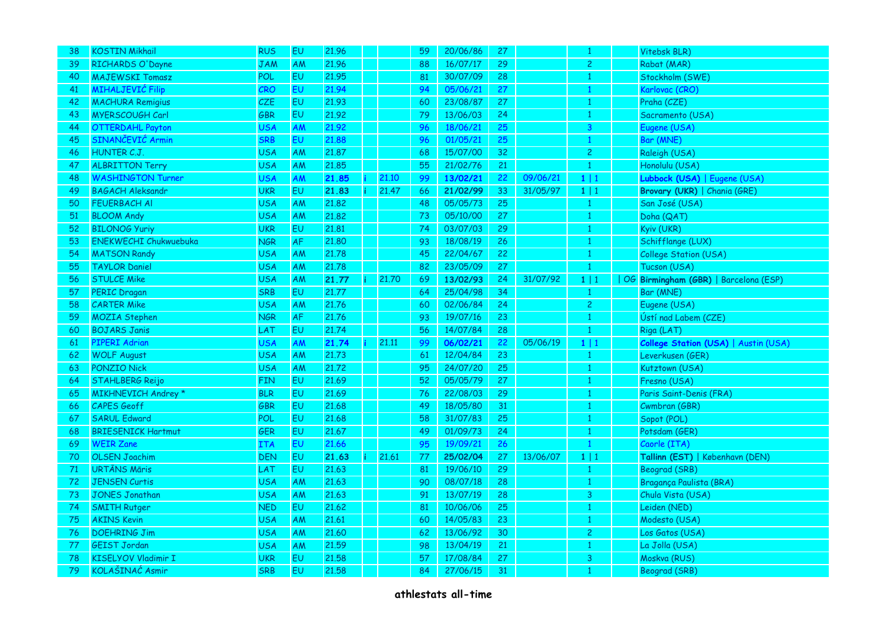| 38 | <b>KOSTIN Mikhail</b>        | <b>RUS</b> | EU        | 21.96 |       | 59  | 20/06/86 | 27 |          | 1                       | Vitebsk BLR)                          |
|----|------------------------------|------------|-----------|-------|-------|-----|----------|----|----------|-------------------------|---------------------------------------|
| 39 | RICHARDS O'Dayne             | <b>JAM</b> | AM        | 21.96 |       | 88  | 16/07/17 | 29 |          | $\overline{c}$          | Rabat (MAR)                           |
| 40 | <b>MAJEWSKI Tomasz</b>       | POL        | EU        | 21.95 |       | 81  | 30/07/09 | 28 |          | 1                       | Stockholm (SWE)                       |
| 41 | MIHALJEVIĆ Filip             | CRO        | EU        | 21.94 |       | 94  | 05/06/21 | 27 |          | 1                       | Karlovac (CRO)                        |
| 42 | <b>MACHURA Remigius</b>      | CZE        | EU        | 21.93 |       | 60  | 23/08/87 | 27 |          | $\mathbf{1}$            | Praha (CZE)                           |
| 43 | MYERSCOUGH Carl              | GBR        | EU        | 21.92 |       | 79  | 13/06/03 | 24 |          | 1                       | Sacramento (USA)                      |
| 44 | <b>OTTERDAHL Payton</b>      | <b>USA</b> | AM        | 21.92 |       | 96  | 18/06/21 | 25 |          | $\overline{\mathbf{3}}$ | Eugene (USA)                          |
| 45 | SINANČEVIĆ Armin             | <b>SRB</b> | EU        | 21.88 |       | 96  | 01/05/21 | 25 |          | $\mathbf{1}$            | Bar (MNE)                             |
| 46 | HUNTER C.J.                  | USA        | <b>AM</b> | 21,87 |       | 68  | 15/07/00 | 32 |          | $\overline{c}$          | Raleigh (USA)                         |
| 47 | <b>ALBRITTON Terry</b>       | <b>USA</b> | <b>AM</b> | 21.85 |       | 55  | 21/02/76 | 21 |          | $\mathbf{1}$            | Honolulu (USA)                        |
| 48 | <b>WASHINGTON Turner</b>     | <b>USA</b> | AM        | 21.85 | 21.10 | -99 | 13/02/21 | 22 | 09/06/21 | 1 1                     | Lubbock (USA)   Eugene (USA)          |
| 49 | <b>BAGACH Aleksandr</b>      | <b>UKR</b> | EU        | 21.83 | 21.47 | 66  | 21/02/99 | 33 | 31/05/97 | $1 \mid 1$              | Brovary (UKR)   Chania (GRE)          |
| 50 | <b>FEUERBACH AI</b>          | <b>USA</b> | AM        | 21.82 |       | 48  | 05/05/73 | 25 |          | $\mathbf{1}$            | San José (USA)                        |
| 51 | <b>BLOOM Andy</b>            | <b>USA</b> | AM        | 21.82 |       | 73  | 05/10/00 | 27 |          | $\mathbf{1}$            | Doha (QAT)                            |
| 52 | <b>BILONOG Yuriy</b>         | <b>UKR</b> | EU        | 21.81 |       | 74  | 03/07/03 | 29 |          | $\mathbf{1}$            | Kyiv (UKR)                            |
| 53 | <b>ENEKWECHI Chukwuebuka</b> | <b>NGR</b> | <b>AF</b> | 21,80 |       | 93  | 18/08/19 | 26 |          | 1                       | Schifflange (LUX)                     |
| 54 | <b>MATSON Randy</b>          | <b>USA</b> | AM        | 21.78 |       | 45  | 22/04/67 | 22 |          | 1                       | College Station (USA)                 |
| 55 | <b>TAYLOR Daniel</b>         | <b>USA</b> | ΑM        | 21.78 |       | 82  | 23/05/09 | 27 |          | 1                       | Tucson (USA)                          |
| 56 | <b>STULCE Mike</b>           | <b>USA</b> | AM        | 21.77 | 21.70 | 69  | 13/02/93 | 24 | 31/07/92 | 1 1                     | OG Birmingham (GBR)   Barcelona (ESP) |
| 57 | <b>PERIC Dragan</b>          | <b>SRB</b> | EU        | 21,77 |       | 64  | 25/04/98 | 34 |          | $\mathbf{1}$            | Bar (MNE)                             |
| 58 | <b>CARTER Mike</b>           | <b>USA</b> | AM        | 21.76 |       | 60  | 02/06/84 | 24 |          | $\overline{c}$          | Eugene (USA)                          |
| 59 | <b>MOZIA Stephen</b>         | <b>NGR</b> | AF        | 21.76 |       | 93  | 19/07/16 | 23 |          | $\mathbf{1}$            | Ústí nad Labem (CZE)                  |
| 60 | <b>BOJARS Janis</b>          | LAT        | EU        | 21.74 |       | 56  | 14/07/84 | 28 |          | $\mathbf{1}$            | Riga (LAT)                            |
| 61 | PIPERI Adrian                | <b>USA</b> | AM        | 21.74 | 21,11 | 99  | 06/02/21 | 22 | 05/06/19 | $1 \mid 1$              | College Station (USA)   Austin (USA)  |
| 62 | <b>WOLF August</b>           | <b>USA</b> | AM        | 21,73 |       | 61  | 12/04/84 | 23 |          | 1                       | Leverkusen (GER)                      |
| 63 | <b>PONZIO Nick</b>           | <b>USA</b> | AM        | 21.72 |       | 95  | 24/07/20 | 25 |          | 1                       | Kutztown (USA)                        |
| 64 | <b>STAHLBERG Reijo</b>       | <b>FIN</b> | EU        | 21.69 |       | 52  | 05/05/79 | 27 |          | 1                       | Fresno (USA)                          |
| 65 | MIKHNEVICH Andrey *          | <b>BLR</b> | EU        | 21.69 |       | 76  | 22/08/03 | 29 |          | $\mathbf{1}$            | Paris Saint-Denis (FRA)               |
| 66 | <b>CAPES Geoff</b>           | GBR        | EU        | 21.68 |       | 49  | 18/05/80 | 31 |          | $\mathbf{1}$            | Cwmbran (GBR)                         |
| 67 | <b>SARUL Edward</b>          | POL        | EU        | 21.68 |       | 58  | 31/07/83 | 25 |          | 1                       | Sopot (POL)                           |
| 68 | <b>BRIESENICK Hartmut</b>    | GER        | EU        | 21.67 |       | 49  | 01/09/73 | 24 |          | $\mathbf{1}$            | Potsdam (GER)                         |
| 69 | <b>WEIR Zane</b>             | ITA        | EU        | 21.66 |       | 95  | 19/09/21 | 26 |          | $\mathbf{1}$            | Caorle (ITA)                          |
| 70 | <b>OLSEN Joachim</b>         | <b>DEN</b> | EU        | 21.63 | 21.61 | 77  | 25/02/04 | 27 | 13/06/07 | $1 \mid 1$              | Tallinn (EST)   København (DEN)       |
| 71 | <b>URTĀNS Māris</b>          | LAT        | EU        | 21.63 |       | 81  | 19/06/10 | 29 |          | 1                       | Beograd (SRB)                         |
| 72 | <b>JENSEN Curtis</b>         | <b>USA</b> | AM        | 21.63 |       | 90  | 08/07/18 | 28 |          | $\mathbf{1}$            | Bragança Paulista (BRA)               |
| 73 | <b>JONES Jonathan</b>        | <b>USA</b> | AM        | 21.63 |       | 91  | 13/07/19 | 28 |          | 3                       | Chula Vista (USA)                     |
| 74 | <b>SMITH Rutger</b>          | <b>NED</b> | EU        | 21.62 |       | 81  | 10/06/06 | 25 |          | $\mathbf{1}$            | Leiden (NED)                          |
| 75 | <b>AKINS Kevin</b>           | <b>USA</b> | AM        | 21.61 |       | 60  | 14/05/83 | 23 |          | 1                       | Modesto (USA)                         |
| 76 | <b>DOEHRING Jim</b>          | <b>USA</b> | <b>AM</b> | 21.60 |       | 62  | 13/06/92 | 30 |          | $\overline{c}$          | Los Gatos (USA)                       |
| 77 | <b>GEIST Jordan</b>          | <b>USA</b> | AM        | 21.59 |       | 98  | 13/04/19 | 21 |          | 1                       | La Jolla (USA)                        |
| 78 | <b>KISELYOV Vladimir I</b>   | <b>UKR</b> | EU        | 21.58 |       | 57  | 17/08/84 | 27 |          | 3                       | Moskva (RUS)                          |
| 79 | KOLAŠINAĆ Asmir              | <b>SRB</b> | EU        | 21.58 |       | 84  | 27/06/15 | 31 |          | 1                       | Beograd (SRB)                         |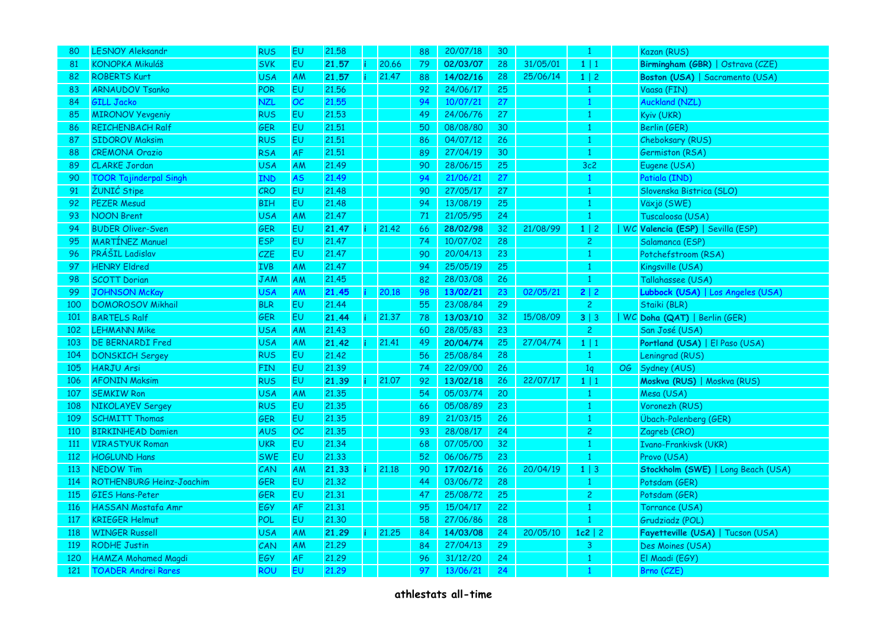| 80         | <b>LESNOY Aleksandr</b>       | <b>RUS</b> | EU        | 21.58 |       | 88 | 20/07/18 | 30 |          | 1              |    | Kazan (RUS)                        |
|------------|-------------------------------|------------|-----------|-------|-------|----|----------|----|----------|----------------|----|------------------------------------|
| 81         | <b>KONOPKA Mikuláš</b>        | <b>SVK</b> | EU        | 21.57 | 20.66 | 79 | 02/03/07 | 28 | 31/05/01 | $1 \mid 1$     |    | Birmingham (GBR)   Ostrava (CZE)   |
| 82         | <b>ROBERTS Kurt</b>           | <b>USA</b> | AM        | 21.57 | 21.47 | 88 | 14/02/16 | 28 | 25/06/14 | $1 \mid 2$     |    | Boston (USA)   Sacramento (USA)    |
| 83         | <b>ARNAUDOV Tsanko</b>        | POR        | EU        | 21.56 |       | 92 | 24/06/17 | 25 |          | 1              |    | Vaasa (FIN)                        |
| 84         | <b>GILL Jacko</b>             | NZL        | OC        | 21.55 |       | 94 | 10/07/21 | 27 |          | 1              |    | <b>Auckland (NZL)</b>              |
| 85         | <b>MIRONOV Yevgeniy</b>       | <b>RUS</b> | EU        | 21.53 |       | 49 | 24/06/76 | 27 |          | 1              |    | Kyiv (UKR)                         |
| 86         | <b>REICHENBACH Ralf</b>       | <b>GER</b> | <b>EU</b> | 21,51 |       | 50 | 08/08/80 | 30 |          | 1              |    | Berlin (GER)                       |
| 87         | <b>SIDOROV Maksim</b>         | <b>RUS</b> | EU        | 21.51 |       | 86 | 04/07/12 | 26 |          | 1              |    | Cheboksary (RUS)                   |
| 88         | <b>CREMONA Orazio</b>         | <b>RSA</b> | <b>AF</b> | 21,51 |       | 89 | 27/04/19 | 30 |          | 1              |    | Germiston (RSA)                    |
| 89         | <b>CLARKE Jordan</b>          | <b>USA</b> | <b>AM</b> | 21.49 |       | 90 | 28/06/15 | 25 |          | 3c2            |    | Eugene (USA)                       |
| 90         | <b>TOOR Tajinderpal Singh</b> | IND        | <b>AS</b> | 21.49 |       | 94 | 21/06/21 | 27 |          | $\mathbf{1}$   |    | Patiala (IND)                      |
| 91         | ŽUNIĆ Stipe                   | <b>CRO</b> | EU        | 21.48 |       | 90 | 27/05/17 | 27 |          | 1              |    | Slovenska Bistrica (SLO)           |
| 92         | <b>PEZER Mesud</b>            | <b>BIH</b> | EU        | 21.48 |       | 94 | 13/08/19 | 25 |          | $\mathbf{1}$   |    | Växjö (SWE)                        |
| 93         | <b>NOON Brent</b>             | USA        | AM        | 21.47 |       | 71 | 21/05/95 | 24 |          | -1             |    | Tuscaloosa (USA)                   |
| 94         | <b>BUDER Oliver-Sven</b>      | GER        | EU        | 21.47 | 21.42 | 66 | 28/02/98 | 32 | 21/08/99 | $1 \mid 2$     |    | WC Valencia (ESP)   Sevilla (ESP)  |
| 95         | <b>MARTINEZ Manuel</b>        | <b>ESP</b> | EU        | 21.47 |       | 74 | 10/07/02 | 28 |          | $\overline{c}$ |    | Salamanca (ESP)                    |
| 96         | PRÁŠIL Ladislav               | <b>CZE</b> | EU        | 21.47 |       | 90 | 20/04/13 | 23 |          | 1              |    | Potchefstroom (RSA)                |
| 97         | <b>HENRY Eldred</b>           | <b>IVB</b> | AM        | 21.47 |       | 94 | 25/05/19 | 25 |          | 1              |    | Kingsville (USA)                   |
| 98         | <b>SCOTT Dorian</b>           | JAM        | AM        | 21.45 |       | 82 | 28/03/08 | 26 |          | $\mathbf{1}$   |    | Tallahassee (USA)                  |
| 99         | <b>JOHNSON McKay</b>          | USA        | <b>AM</b> | 21.45 | 20.18 | 98 | 13/02/21 | 23 | 02/05/21 | 2 2            |    | Lubbock (USA)   Los Angeles (USA)  |
| 100        | <b>DOMOROSOV Mikhail</b>      | <b>BLR</b> | EU        | 21.44 |       | 55 | 23/08/84 | 29 |          | $\overline{c}$ |    | Staiki (BLR)                       |
| 101        | <b>BARTELS Ralf</b>           | GER        | EU        | 21.44 | 21,37 | 78 | 13/03/10 | 32 | 15/08/09 | 3 3            |    | WC Doha (QAT)   Berlin (GER)       |
| 102        | <b>LEHMANN Mike</b>           | <b>USA</b> | <b>AM</b> | 21.43 |       | 60 | 28/05/83 | 23 |          | $\overline{c}$ |    | San José (USA)                     |
| 103        | <b>DE BERNARDI Fred</b>       | <b>USA</b> | AM        | 21.42 | 21.41 | 49 | 20/04/74 | 25 | 27/04/74 | 1 1            |    | Portland (USA)   El Paso (USA)     |
| 104        | <b>DONSKICH Sergey</b>        | <b>RUS</b> | EU        | 21.42 |       | 56 | 25/08/84 | 28 |          | $\mathbf{1}$   |    | Leningrad (RUS)                    |
| 105        | <b>HARJU Arsi</b>             | <b>FIN</b> | EU        | 21.39 |       | 74 | 22/09/00 | 26 |          | 1 <sub>q</sub> | OG | Sydney (AUS)                       |
| 106        | <b>AFONIN Maksim</b>          | <b>RUS</b> | EU        | 21.39 | 21.07 | 92 | 13/02/18 | 26 | 22/07/17 | $1 \mid 1$     |    | Moskva (RUS)   Moskva (RUS)        |
| 107        | <b>SEMKIW Ron</b>             | USA        | AM        | 21.35 |       | 54 | 05/03/74 | 20 |          | $\mathbf{1}$   |    | Mesa (USA)                         |
| 108        | <b>NIKOLAYEV Sergey</b>       | <b>RUS</b> | EU        | 21.35 |       | 66 | 05/08/89 | 23 |          | 1              |    | Voronezh (RUS)                     |
| 109        | <b>SCHMITT Thomas</b>         | GER        | EU        | 21.35 |       | 89 | 21/03/15 | 26 |          | 1              |    | Übach-Palenberg (GER)              |
| 110        | <b>BIRKINHEAD Damien</b>      | <b>AUS</b> | OC        | 21.35 |       | 93 | 28/08/17 | 24 |          | $\overline{c}$ |    | Zagreb (CRO)                       |
| <b>111</b> | <b>VIRASTYUK Roman</b>        | <b>UKR</b> | EU        | 21.34 |       | 68 | 07/05/00 | 32 |          | 1              |    | Ivano-Frankivsk (UKR)              |
| 112        | <b>HOGLUND Hans</b>           | <b>SWE</b> | EU        | 21.33 |       | 52 | 06/06/75 | 23 |          | 1              |    | Provo (USA)                        |
| 113        | <b>NEDOW Tim</b>              | CAN        | AM        | 21.33 | 21.18 | 90 | 17/02/16 | 26 | 20/04/19 | $1 \mid 3$     |    | Stockholm (SWE)   Long Beach (USA) |
| 114        | ROTHENBURG Heinz-Joachim      | <b>GER</b> | EU        | 21.32 |       | 44 | 03/06/72 | 28 |          | 1              |    | Potsdam (GER)                      |
| 115        | <b>GIES Hans-Peter</b>        | GER        | EU        | 21.31 |       | 47 | 25/08/72 | 25 |          | $\overline{c}$ |    | Potsdam (GER)                      |
| 116        | <b>HASSAN Mostafa Amr</b>     | EGY        | AF        | 21.31 |       | 95 | 15/04/17 | 22 |          | 1              |    | Torrance (USA)                     |
| 117        | <b>KRIEGER Helmut</b>         | POL        | EU        | 21.30 |       | 58 | 27/06/86 | 28 |          | $\mathbf{1}$   |    | Grudziadz (POL)                    |
| <b>118</b> | <b>WINGER Russell</b>         | <b>USA</b> | AM        | 21.29 | 21,25 | 84 | 14/03/08 | 24 | 20/05/10 | $1c2$   2      |    | Fayetteville (USA)   Tucson (USA)  |
| 119        | <b>RODHE Justin</b>           | CAN        | <b>AM</b> | 21.29 |       | 84 | 27/04/13 | 29 |          | 3              |    | Des Moines (USA)                   |
| 120        | <b>HAMZA Mohamed Magdi</b>    | EGY        | AF        | 21.29 |       | 96 | 31/12/20 | 24 |          | 1              |    | El Maadi (EGY)                     |
| 121        | <b>TOADER Andrei Rares</b>    | <b>ROU</b> | <b>EU</b> | 21.29 |       | 97 | 13/06/21 | 24 |          | 1              |    | Brno (CZE)                         |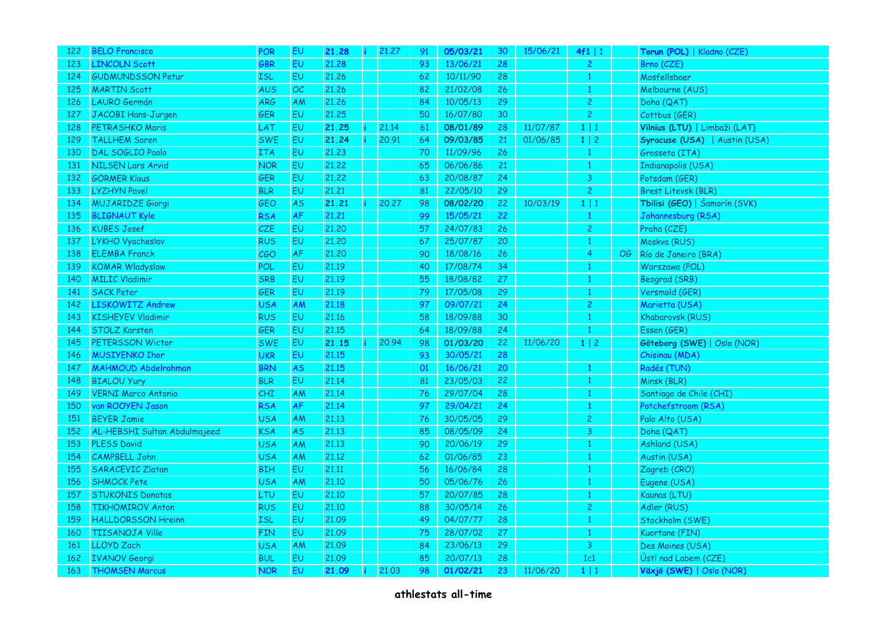| 122 | <b>BELO Francisco</b>        | POR        | EU        | 21.28<br>i. | 21.27 |       | 91 | 05/03/21 | 30 <sub>o</sub> | 15/06/21 | 4f1   1        |     | Torun (POL)   Kladno (CZE)    |
|-----|------------------------------|------------|-----------|-------------|-------|-------|----|----------|-----------------|----------|----------------|-----|-------------------------------|
| 123 | <b>LINCOLN Scott</b>         | GBR        | <b>EU</b> | 21,28       |       |       | 93 | 13/06/21 | 28              |          | $\overline{2}$ |     | Brno (CZE)                    |
| 124 | <b>GUDMUNDSSON Petur</b>     | <b>ISL</b> | EU        | 21.26       |       |       | 62 | 10/11/90 | 28              |          | $\mathbf{1}$   |     | Mosfellsbaer                  |
| 125 | <b>MARTIN Scott</b>          | AUS        | $\cal OC$ | 21.26       |       |       | 82 | 21/02/08 | 26              |          | 1              |     | Melbourne (AUS)               |
| 126 | <b>LAURO</b> Germán          | <b>ARG</b> | AM        | 21.26       |       |       | 84 | 10/05/13 | 29              |          | $\overline{2}$ |     | Doha (QAT)                    |
| 127 | JACOBI Hans-Jurgen           | <b>GER</b> | EU.       | 21,25       |       |       | 50 | 16/07/80 | 30              |          | $\overline{2}$ |     | Cottbus (GER)                 |
| 128 | <b>PETRASHKO Maris</b>       | LAT        | <b>EU</b> | 21.25       | 21.14 |       | 61 | 08/01/89 | 28              | 11/07/87 | 1 1            |     | Vilnius (LTU)   Limbaži (LAT) |
| 129 | <b>TALLHEM Soren</b>         | <b>SWE</b> | EU        | 21.24       | 20.91 |       | 64 | 09/03/85 | 21              | 01/06/85 | $1 \mid 2$     |     | Syracuse (USA)   Austin (USA) |
| 130 | DAL SOGLIO Paolo             | <b>ITA</b> | EU        | 21.23       |       |       | 70 | 11/09/96 | 26              |          | $\mathbf{1}$   |     | Grosseto (ITA)                |
| 131 | <b>NILSEN Lars Arvid</b>     | <b>NOR</b> | EU        | 21,22       |       |       | 65 | 06/06/86 | 21              |          | $\mathbf{1}$   |     | Indianapolis (USA)            |
| 132 | <b>GÖRMER Klaus</b>          | GER        | EU        | 21,22       |       |       | 63 | 20/08/87 | 24              |          | $\overline{3}$ |     | Potsdam (GER)                 |
| 133 | <b>LYZHYN Pavel</b>          | <b>BLR</b> | <b>EU</b> | 21,21       |       |       | 81 | 22/05/10 | 29              |          | $\overline{c}$ |     | <b>Brest Litevsk (BLR)</b>    |
| 134 | <b>MUJARIDZE Giorgi</b>      | GEO        | <b>AS</b> | 21.21       |       | 20,27 | 98 | 08/02/20 | 22              | 10/03/19 | 1 1            |     | Tbilisi (GEO)   Šamorín (SVK) |
| 135 | <b>BLIGNAUT Kyle</b>         | <b>RSA</b> | AF        | 21.21       |       |       | 99 | 15/05/21 | 22              |          | $\mathbf{1}$   |     | Johannesburg (RSA)            |
| 136 | <b>KUBES Josef</b>           | CZE        | EU        | 21,20       |       |       | 57 | 24/07/83 | 26              |          | $\overline{c}$ |     | Praha (CZE)                   |
| 137 | LYKHO Vyacheslav             | <b>RUS</b> | EU        | 21,20       |       |       | 67 | 25/07/87 | 20              |          | 1              |     | Moskva (RUS)                  |
| 138 | <b>ELEMBA Franck</b>         | CGO        | AF        | 21,20       |       |       | 90 | 18/08/16 | 26              |          | 4              | OG. | Río de Janeiro (BRA)          |
| 139 | <b>KOMAR Wladyslaw</b>       | POL        | EU        | 21.19       |       |       | 40 | 17/08/74 | 34              |          | 1              |     | Warszawa (POL)                |
| 140 | <b>MILIC Vladimir</b>        | SRB        | <b>EU</b> | 21.19       |       |       | 55 | 18/08/82 | 27              |          | 1              |     | Beograd (SRB)                 |
| 141 | <b>SACK Peter</b>            | GER        | <b>EU</b> | 21.19       |       |       | 79 | 17/05/08 | 29              |          | $\mathbf{1}$   |     | Versmold (GER)                |
| 142 | <b>LISKOWITZ Andrew</b>      | <b>USA</b> | AM        | 21.18       |       |       | 97 | 09/07/21 | 24              |          | $\overline{2}$ |     | Marietta (USA)                |
| 143 | <b>KISHEYEV Vladimir</b>     | <b>RUS</b> | EU        | 21.16       |       |       | 58 | 18/09/88 | 30              |          | $\mathbf{1}$   |     | Khabarovsk (RUS)              |
| 144 | <b>STOLZ Karsten</b>         | GER        | <b>EU</b> | 21.15       |       |       | 64 | 18/09/88 | 24              |          | $\mathbf{1}$   |     | Essen (GER)                   |
| 145 | <b>PETERSSON Wictor</b>      | <b>SWE</b> | EU        | 21.15       |       | 20.94 | 98 | 01/03/20 | 22              | 11/06/20 | $1 \mid 2$     |     | Göteborg (SWE)   Oslo (NOR)   |
| 146 | <b>MUSIYENKO Ihor</b>        | <b>UKR</b> | <b>EU</b> | 21.15       |       |       | 93 | 30/05/21 | 28              |          |                |     | Chisinau (MDA)                |
| 147 | <b>MAHMOUD Abdelrahman</b>   | <b>BRN</b> | <b>AS</b> | 21.15       |       |       | 01 | 16/06/21 | 20              |          | $\mathbf{1}$   |     | Radés (TUN)                   |
| 148 | <b>BIALOU Yury</b>           | <b>BLR</b> | EU        | 21.14       |       |       | 81 | 23/05/03 | 22              |          | $\mathbf{1}$   |     | Minsk (BLR)                   |
| 149 | <b>VERNI Marco Antonio</b>   | CHI        | AM        | 21.14       |       |       | 76 | 29/07/04 | 28              |          | $\mathbf{1}$   |     | Santiago de Chile (CHI)       |
| 150 | van ROOYEN Jason             | <b>RSA</b> | AF        | 21.14       |       |       | 97 | 29/04/21 | 24              |          | 1              |     | Potchefstroom (RSA)           |
| 151 | <b>BEYER Jamie</b>           | <b>USA</b> | AM        | 21,13       |       |       | 76 | 30/05/05 | 29              |          | $\overline{c}$ |     | Palo Alto (USA)               |
| 152 | AL-HEBSHI Sultan Abdulmajeed | <b>KSA</b> | <b>AS</b> | 21.13       |       |       | 85 | 08/05/09 | 24              |          | 3              |     | Doha (QAT)                    |
| 153 | <b>PLESS David</b>           | <b>USA</b> | AM        | 21,13       |       |       | 90 | 20/06/19 | 29              |          | 1              |     | Ashland (USA)                 |
| 154 | <b>CAMPBELL John</b>         | <b>USA</b> | <b>AM</b> | 21.12       |       |       | 62 | 01/06/85 | 23              |          | 1              |     | Austin (USA)                  |
| 155 | <b>SARACEVIC Zlatan</b>      | <b>BIH</b> | <b>EU</b> | 21.11       |       |       | 56 | 16/06/84 | 28              |          | $\mathbf{1}$   |     | Zagreb (CRO)                  |
| 156 | <b>SHMOCK Pete</b>           | <b>USA</b> | <b>AM</b> | 21.10       |       |       | 50 | 05/06/76 | 26              |          | $\mathbf{1}$   |     | Eugene (USA)                  |
| 157 | <b>STUKONIS Donatas</b>      | LTU        | EU        | 21.10       |       |       | 57 | 20/07/85 | 28              |          | $\mathbf{1}$   |     | Kaunas (LTU)                  |
| 158 | <b>TIKHOMIROV Anton</b>      | <b>RUS</b> | EU        | 21.10       |       |       | 88 | 30/05/14 | 26              |          | $\mathbf{2}$   |     | Adler (RUS)                   |
| 159 | <b>HALLDORSSON Hreinn</b>    | <b>ISL</b> | EU        | 21.09       |       |       | 49 | 04/07/77 | 28              |          | $\mathbf{1}$   |     | Stockholm (SWE)               |
| 160 | <b>TIISANOJA Ville</b>       | <b>FIN</b> | EU        | 21.09       |       |       | 75 | 28/07/02 | 27              |          | -1             |     | Kuortane (FIN)                |
| 161 | <b>LLOYD Zach</b>            | <b>USA</b> | <b>AM</b> | 21.09       |       |       | 84 | 23/06/13 | 29              |          | 3              |     | Des Moines (USA)              |
| 162 | <b>IVANOV Georgi</b>         | <b>BUL</b> | EU        | 21.09       |       |       | 85 | 20/07/13 | 28              |          | 1c1            |     | Ústí nad Labem (CZE)          |
| 163 | <b>THOMSEN Marcus</b>        | <b>NOR</b> | EU.       | 21.09       | 21,03 |       | 98 | 01/02/21 | 23              | 11/06/20 | $1 \mid 1$     |     | Växjö (SWE)   Oslo (NOR)      |
|     |                              |            |           |             |       |       |    |          |                 |          |                |     |                               |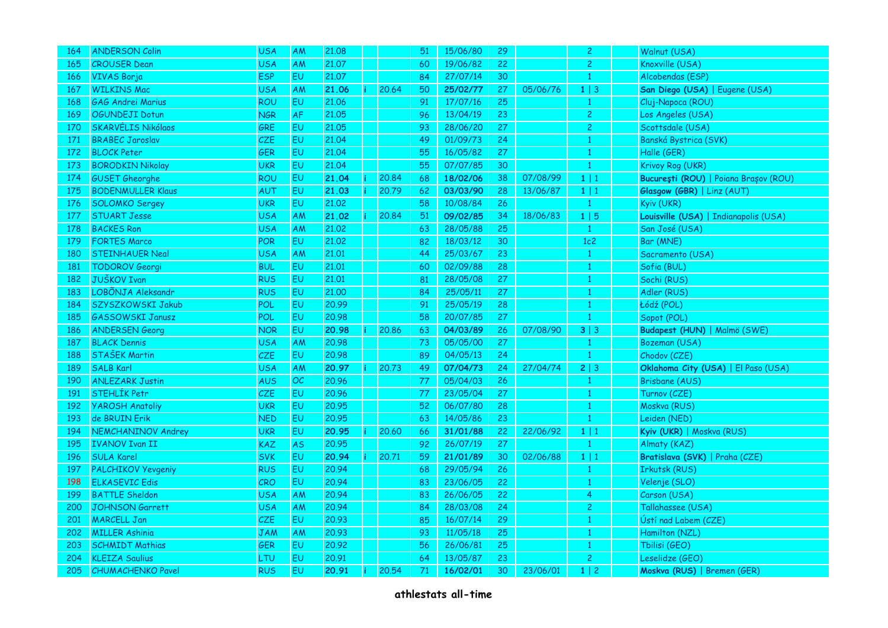| 164 | <b>ANDERSON Colin</b>     | <b>USA</b> | AM        | 21.08 |       | 51 | 15/06/80 | 29 |          | $\overline{c}$ | Walnut (USA)                          |
|-----|---------------------------|------------|-----------|-------|-------|----|----------|----|----------|----------------|---------------------------------------|
| 165 | <b>CROUSER Dean</b>       | <b>USA</b> | <b>AM</b> | 21,07 |       | 60 | 19/06/82 | 22 |          | $\overline{c}$ | Knoxville (USA)                       |
| 166 | <b>VIVAS Borja</b>        | <b>ESP</b> | EU        | 21.07 |       | 84 | 27/07/14 | 30 |          | 1              | Alcobendas (ESP)                      |
| 167 | <b>WILKINS Mac</b>        | <b>USA</b> | <b>AM</b> | 21.06 | 20.64 | 50 | 25/02/77 | 27 | 05/06/76 | $1 \mid 3$     | San Diego (USA)   Eugene (USA)        |
| 168 | <b>GAG Andrei Marius</b>  | ROU        | EU        | 21.06 |       | 91 | 17/07/16 | 25 |          | -1             | Cluj-Napoca (ROU)                     |
| 169 | OGUNDEJI Dotun            | <b>NGR</b> | AF        | 21.05 |       | 96 | 13/04/19 | 23 |          | $\overline{c}$ | Los Angeles (USA)                     |
| 170 | <b>SKARVÉLIS Nikólaos</b> | <b>GRE</b> | EU        | 21.05 |       | 93 | 28/06/20 | 27 |          | $\overline{c}$ | Scottsdale (USA)                      |
| 171 | <b>BRABEC Jaroslav</b>    | CZE        | EU        | 21.04 |       | 49 | 01/09/73 | 24 |          | 1              | Banská Bystrica (SVK)                 |
| 172 | <b>BLOCK Peter</b>        | <b>GER</b> | <b>EU</b> | 21,04 |       | 55 | 16/05/82 | 27 |          | 1              | Halle (GER)                           |
| 173 | <b>BORODKIN Nikolay</b>   | <b>UKR</b> | EU        | 21.04 |       | 55 | 07/07/85 | 30 |          | $\mathbf{1}$   | Krivoy Rog (UKR)                      |
| 174 | <b>GUSET Gheorghe</b>     | <b>ROU</b> | EU        | 21.04 | 20,84 | 68 | 18/02/06 | 38 | 07/08/99 | $1 \mid 1$     | București (ROU)   Poiana Brașov (ROU) |
| 175 | <b>BODENMULLER Klaus</b>  | AUT        | EU        | 21.03 | 20.79 | 62 | 03/03/90 | 28 | 13/06/87 | $1 \mid 1$     | Glasgow (GBR)   Linz (AUT)            |
| 176 | <b>SOLOMKO Sergey</b>     | <b>UKR</b> | EU        | 21.02 |       | 58 | 10/08/84 | 26 |          | $\overline{1}$ | Kyiv (UKR)                            |
| 177 | <b>STUART Jesse</b>       | <b>USA</b> | AM        | 21.02 | 20.84 | 51 | 09/02/85 | 34 | 18/06/83 | 1 5            | Louisville (USA)   Indianapolis (USA) |
| 178 | <b>BACKES Ron</b>         | <b>USA</b> | AM        | 21.02 |       | 63 | 28/05/88 | 25 |          | $\mathbf{1}$   | San José (USA)                        |
| 179 | <b>FORTES Marco</b>       | <b>POR</b> | EU        | 21,02 |       | 82 | 18/03/12 | 30 |          | 1c2            | Bar (MNE)                             |
| 180 | <b>STEINHAUER Neal</b>    | <b>USA</b> | AM        | 21.01 |       | 44 | 25/03/67 | 23 |          | $\overline{1}$ | Sacramento (USA)                      |
| 181 | <b>TODOROV Georgi</b>     | <b>BUL</b> | EU        | 21.01 |       | 60 | 02/09/88 | 28 |          | 1              | Sofia (BUL)                           |
| 182 | <b>JUŠKOV Ivan</b>        | <b>RUS</b> | EU        | 21.01 |       | 81 | 28/05/08 | 27 |          | 1              | Sochi (RUS)                           |
| 183 | LOBÕNJA Aleksandr         | <b>RUS</b> | EU        | 21.00 |       | 84 | 25/05/11 | 27 |          |                | Adler (RUS)                           |
| 184 | SZYSZKOWSKI Jakub         | POL        | EU        | 20.99 |       | 91 | 25/05/19 | 28 |          |                | Łódź (POL)                            |
| 185 | <b>GASSOWSKI Janusz</b>   | POL        | EU        | 20.98 |       | 58 | 20/07/85 | 27 |          |                | Sopot (POL)                           |
| 186 | <b>ANDERSEN Georg</b>     | <b>NOR</b> | EU        | 20.98 | 20,86 | 63 | 04/03/89 | 26 | 07/08/90 | $3 \mid 3$     | Budapest (HUN)   Malmö (SWE)          |
| 187 | <b>BLACK Dennis</b>       | <b>USA</b> | AM        | 20.98 |       | 73 | 05/05/00 | 27 |          | $\mathbf{1}$   | Bozeman (USA)                         |
| 188 | <b>STAŠEK Martin</b>      | <b>CZE</b> | EU        | 20.98 |       | 89 | 04/05/13 | 24 |          | -1             | Chodov (CZE)                          |
| 189 | <b>SALB Karl</b>          | <b>USA</b> | AM        | 20.97 | 20.73 | 49 | 07/04/73 | 24 | 27/04/74 | 2   3          | Oklahoma City (USA)   El Paso (USA)   |
| 190 | <b>ANLEZARK Justin</b>    | AUS        | OC        | 20.96 |       | 77 | 05/04/03 | 26 |          | 1              | <b>Brisbane (AUS)</b>                 |
| 191 | <b>STEHLÍK Petr</b>       | <b>CZE</b> | <b>EU</b> | 20.96 |       | 77 | 23/05/04 | 27 |          | 1              | Turnov (CZE)                          |
| 192 | <b>YAROSH Anatoliy</b>    | <b>UKR</b> | EU        | 20.95 |       | 52 | 06/07/80 | 28 |          | $\overline{1}$ | Moskva (RUS)                          |
| 193 | de BRUIN Erik             | <b>NED</b> | EU        | 20.95 |       | 63 | 14/05/86 | 23 |          |                | Leiden (NED)                          |
| 194 | NEMCHANINOV Andrey        | <b>UKR</b> | EU        | 20.95 | 20,60 | 66 | 31/01/88 | 22 | 22/06/92 | $1 \mid 1$     | Kyiv (UKR)   Moskva (RUS)             |
| 195 | <b>IVANOV Ivan II</b>     | <b>KAZ</b> | <b>AS</b> | 20.95 |       | 92 | 26/07/19 | 27 |          | 1              | Almaty (KAZ)                          |
| 196 | <b>SULA Karel</b>         | <b>SVK</b> | EU        | 20.94 | 20.71 | 59 | 21/01/89 | 30 | 02/06/88 | $1 \mid 1$     | Bratislava (SVK)   Praha (CZE)        |
| 197 | <b>PALCHIKOV Yevgeniy</b> | <b>RUS</b> | EU        | 20.94 |       | 68 | 29/05/94 | 26 |          | $\mathbf{1}$   | Irkutsk (RUS)                         |
| 198 | <b>ELKASEVIC Edis</b>     | <b>CRO</b> | EU        | 20.94 |       | 83 | 23/06/05 | 22 |          | $\mathbf{1}$   | Velenje (SLO)                         |
| 199 | <b>BATTLE Sheldon</b>     | <b>USA</b> | <b>AM</b> | 20.94 |       | 83 | 26/06/05 | 22 |          | 4              | Carson (USA)                          |
| 200 | <b>JOHNSON Garrett</b>    | <b>USA</b> | <b>AM</b> | 20.94 |       | 84 | 28/03/08 | 24 |          | $\overline{c}$ | Tallahassee (USA)                     |
| 201 | <b>MARCELL Jan</b>        | CZE        | EU        | 20.93 |       | 85 | 16/07/14 | 29 |          |                | Ústí nad Labem (CZE)                  |
| 202 | <b>MILLER Ashinia</b>     | <b>JAM</b> | AM        | 20.93 |       | 93 | 11/05/18 | 25 |          |                | Hamilton (NZL)                        |
| 203 | <b>SCHMIDT Mathias</b>    | <b>GER</b> | EU        | 20.92 |       | 56 | 26/06/81 | 25 |          | -1             | Tbilisi (GEO)                         |
| 204 | <b>KLEIZA Saulius</b>     | LTU        | EU        | 20.91 |       | 64 | 13/05/87 | 23 |          | $\overline{c}$ | Leselidze (GEO)                       |
| 205 | CHUMACHENKO Pavel         | <b>RUS</b> | EU        | 20.91 | 20.54 | 71 | 16/02/01 | 30 | 23/06/01 | $1 \mid 2$     | Moskva (RUS)   Bremen (GER)           |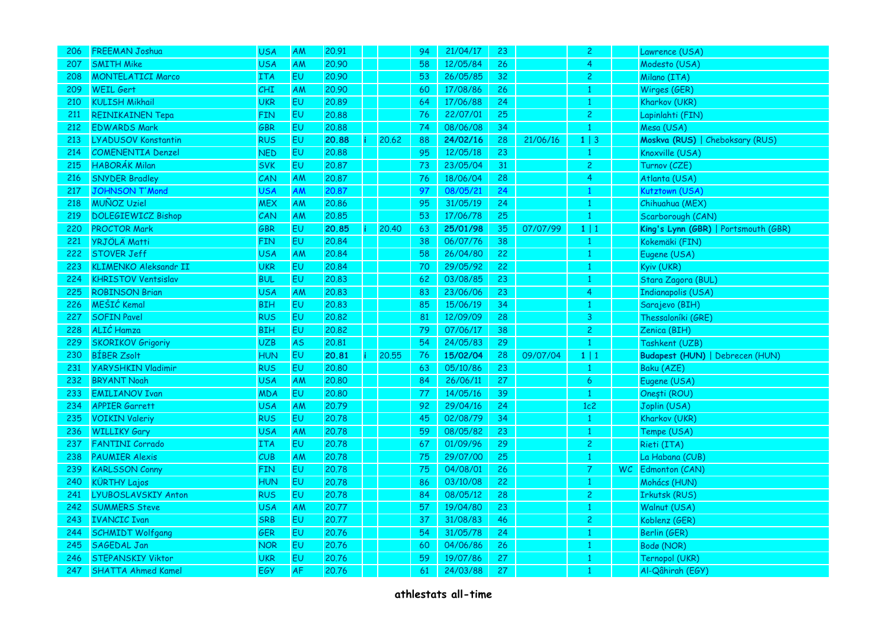| 206 | <b>FREEMAN Joshua</b>        | <b>USA</b> | AM        | 20.91 |       | 94 | 21/04/17 | 23 |          | $\overline{2}$ |    | Lawrence (USA)                       |
|-----|------------------------------|------------|-----------|-------|-------|----|----------|----|----------|----------------|----|--------------------------------------|
| 207 | <b>SMITH Mike</b>            | <b>USA</b> | AM        | 20,90 |       | 58 | 12/05/84 | 26 |          | $\overline{4}$ |    | Modesto (USA)                        |
| 208 | <b>MONTELATICI Marco</b>     | <b>ITA</b> | EU        | 20.90 |       | 53 | 26/05/85 | 32 |          | $\overline{c}$ |    | Milano (ITA)                         |
| 209 | <b>WEIL Gert</b>             | CHI        | AM        | 20.90 |       | 60 | 17/08/86 | 26 |          |                |    | Wirges (GER)                         |
| 210 | <b>KULISH Mikhail</b>        | <b>UKR</b> | EU        | 20.89 |       | 64 | 17/06/88 | 24 |          | $\mathbf{1}$   |    | Kharkov (UKR)                        |
| 211 | <b>REINIKAINEN Tepa</b>      | <b>FIN</b> | EU        | 20,88 |       | 76 | 22/07/01 | 25 |          | $\overline{c}$ |    | Lapinlahti (FIN)                     |
| 212 | <b>EDWARDS Mark</b>          | GBR        | EU        | 20,88 |       | 74 | 08/06/08 | 34 |          |                |    | Mesa (USA)                           |
| 213 | <b>LYADUSOV Konstantin</b>   | <b>RUS</b> | EU        | 20.88 | 20.62 | 88 | 24/02/16 | 28 | 21/06/16 | $1 \mid 3$     |    | Moskva (RUS)   Cheboksary (RUS)      |
| 214 | <b>COMENENTIA Denzel</b>     | <b>NED</b> | <b>EU</b> | 20,88 |       | 95 | 12/05/18 | 23 |          | -1             |    | Knoxville (USA)                      |
| 215 | <b>HABORÁK Milan</b>         | <b>SVK</b> | EU        | 20.87 |       | 73 | 23/05/04 | 31 |          | $\overline{c}$ |    | Turnov (CZE)                         |
| 216 | <b>SNYDER Bradley</b>        | CAN        | AM        | 20.87 |       | 76 | 18/06/04 | 28 |          | 4              |    | Atlanta (USA)                        |
| 217 | <b>JOHNSON T'Mond</b>        | <b>USA</b> | AM        | 20.87 |       | 97 | 08/05/21 | 24 |          |                |    | Kutztown (USA)                       |
| 218 | <b>MUÑOZ Uziel</b>           | <b>MEX</b> | AM        | 20.86 |       | 95 | 31/05/19 | 24 |          | -1             |    | Chihuahua (MEX)                      |
| 219 | <b>DOLEGIEWICZ Bishop</b>    | CAN        | AM        | 20.85 |       | 53 | 17/06/78 | 25 |          | $\mathbf{1}$   |    | Scarborough (CAN)                    |
| 220 | <b>PROCTOR Mark</b>          | <b>GBR</b> | EU        | 20.85 | 20.40 | 63 | 25/01/98 | 35 | 07/07/99 | $1 \mid 1$     |    | King's Lynn (GBR)   Portsmouth (GBR) |
| 221 | <b>YRJÖLÄ Matti</b>          | <b>FIN</b> | EU        | 20,84 |       | 38 | 06/07/76 | 38 |          | -1             |    | Kokemäki (FIN)                       |
| 222 | <b>STOVER Jeff</b>           | <b>USA</b> | AM        | 20.84 |       | 58 | 26/04/80 | 22 |          | -1             |    | Eugene (USA)                         |
| 223 | <b>KLIMENKO Aleksandr II</b> | <b>UKR</b> | EU        | 20.84 |       | 70 | 29/05/92 | 22 |          | -1             |    | Kyiv (UKR)                           |
| 224 | <b>KHRISTOV Ventsislav</b>   | <b>BUL</b> | EU        | 20.83 |       | 62 | 03/08/85 | 23 |          | -1             |    | Stara Zagora (BUL)                   |
| 225 | <b>ROBINSON Brian</b>        | <b>USA</b> | AM        | 20.83 |       | 83 | 23/06/06 | 23 |          | 4              |    | Indianapolis (USA)                   |
| 226 | MEŠIĆ Kemal                  | <b>BIH</b> | EU        | 20.83 |       | 85 | 15/06/19 | 34 |          |                |    | Sarajevo (BIH)                       |
| 227 | <b>SOFIN Pavel</b>           | <b>RUS</b> | EU        | 20.82 |       | 81 | 12/09/09 | 28 |          | 3              |    | Thessaloníki (GRE)                   |
| 228 | ALIĆ Hamza                   | <b>BIH</b> | EU        | 20,82 |       | 79 | 07/06/17 | 38 |          | $\overline{2}$ |    | Zenica (BIH)                         |
| 229 | <b>SKORIKOV Grigoriy</b>     | <b>UZB</b> | <b>AS</b> | 20.81 |       | 54 | 24/05/83 | 29 |          | $\mathbf{1}$   |    | Tashkent (UZB)                       |
| 230 | <b>BÍBER Zsolt</b>           | <b>HUN</b> | EU        | 20.81 | 20.55 | 76 | 15/02/04 | 28 | 09/07/04 | $1 \mid 1$     |    | Budapest (HUN)   Debrecen (HUN)      |
| 231 | <b>YARYSHKIN Vladimir</b>    | <b>RUS</b> | EU        | 20.80 |       | 63 | 05/10/86 | 23 |          | -1             |    | Baku (AZE)                           |
| 232 | <b>BRYANT Noah</b>           | <b>USA</b> | <b>AM</b> | 20,80 |       | 84 | 26/06/11 | 27 |          | 6              |    | Eugene (USA)                         |
| 233 | <b>EMILIANOV Ivan</b>        | <b>MDA</b> | EU        | 20,80 |       | 77 | 14/05/16 | 39 |          | $\mathbf{1}$   |    | Onești (ROU)                         |
| 234 | <b>APPIER Garrett</b>        | <b>USA</b> | AM        | 20.79 |       | 92 | 29/04/16 | 24 |          | 1c2            |    | Joplin (USA)                         |
| 235 | <b>VOIKIN Valeriy</b>        | <b>RUS</b> | <b>EU</b> | 20.78 |       | 45 | 02/08/79 | 34 |          |                |    | Kharkov (UKR)                        |
| 236 | <b>WILLIKY Gary</b>          | <b>USA</b> | AM        | 20.78 |       | 59 | 08/05/82 | 23 |          | 1              |    | Tempe (USA)                          |
| 237 | <b>FANTINI Corrado</b>       | <b>ITA</b> | EU        | 20,78 |       | 67 | 01/09/96 | 29 |          | $\overline{c}$ |    | Rieti (ITA)                          |
| 238 | <b>PAUMIER Alexis</b>        | CUB        | AM        | 20.78 |       | 75 | 29/07/00 | 25 |          |                |    | La Habana (CUB)                      |
| 239 | <b>KARLSSON Conny</b>        | <b>FIN</b> | EU        | 20.78 |       | 75 | 04/08/01 | 26 |          | $\overline{7}$ | WC | Edmonton (CAN)                       |
| 240 | <b>KÜRTHY Lajos</b>          | <b>HUN</b> | EU        | 20.78 |       | 86 | 03/10/08 | 22 |          | -1             |    | Mohács (HUN)                         |
| 241 | LYUBOSLAVSKIY Anton          | <b>RUS</b> | EU        | 20.78 |       | 84 | 08/05/12 | 28 |          | $\overline{c}$ |    | <b>Irkutsk (RUS)</b>                 |
| 242 | <b>SUMMERS Steve</b>         | <b>USA</b> | AM        | 20.77 |       | 57 | 19/04/80 | 23 |          |                |    | Walnut (USA)                         |
| 243 | <b>IVANCIC Ivan</b>          | SRB        | EU        | 20.77 |       | 37 | 31/08/83 | 46 |          | $\overline{c}$ |    | Koblenz (GER)                        |
| 244 | <b>SCHMIDT Wolfgang</b>      | <b>GER</b> | EU        | 20.76 |       | 54 | 31/05/78 | 24 |          |                |    | Berlin (GER)                         |
| 245 | SAGEDAL Jan                  | <b>NOR</b> | EU        | 20.76 |       | 60 | 04/06/86 | 26 |          |                |    | Bodø (NOR)                           |
| 246 | <b>STEPANSKIY Viktor</b>     | <b>UKR</b> | EU        | 20.76 |       | 59 | 19/07/86 | 27 |          |                |    | Ternopol (UKR)                       |
| 247 | <b>SHATTA Ahmed Kamel</b>    | EGY        | <b>AF</b> | 20.76 |       | 61 | 24/03/88 | 27 |          |                |    | Al-Qâhirah (EGY)                     |
|     |                              |            |           |       |       |    |          |    |          |                |    |                                      |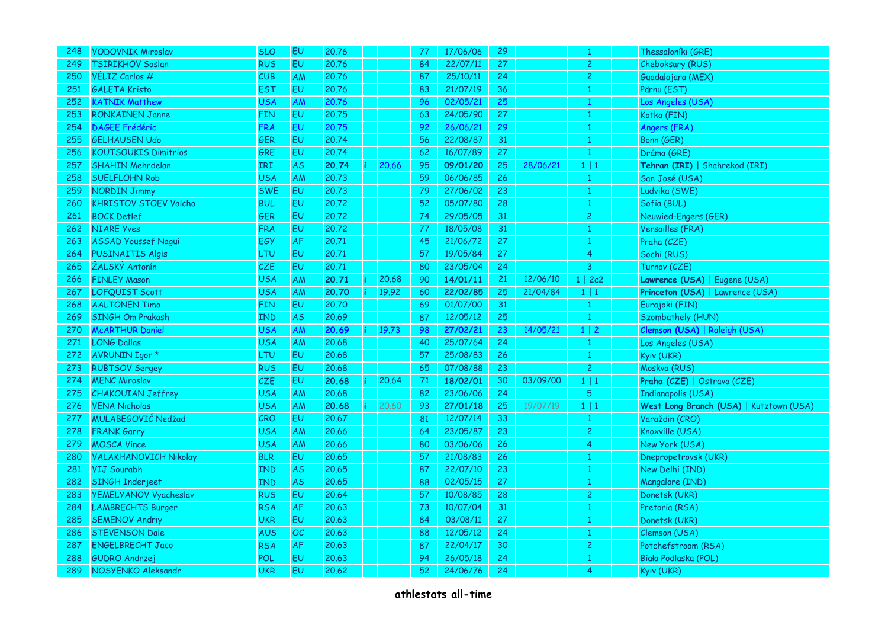| 248 | <b>VODOVNIK Miroslav</b>     | <b>SLO</b> | EU        | 20.76 |       | 77 | 17/06/06 | 29 |          | -1             | Thessaloníki (GRE)                      |
|-----|------------------------------|------------|-----------|-------|-------|----|----------|----|----------|----------------|-----------------------------------------|
| 249 | <b>TSIRIKHOV Soslan</b>      | <b>RUS</b> | EU        | 20.76 |       | 84 | 22/07/11 | 27 |          | $\overline{c}$ | Cheboksary (RUS)                        |
| 250 | VÉLIZ Carlos #               | CUB        | AM        | 20.76 |       | 87 | 25/10/11 | 24 |          | $\overline{c}$ | Guadalajara (MEX)                       |
| 251 | <b>GALETA Kristo</b>         | <b>EST</b> | EU        | 20.76 |       | 83 | 21/07/19 | 36 |          | 1              | Pärnu (EST)                             |
| 252 | <b>KATNIK Matthew</b>        | <b>USA</b> | AM        | 20.76 |       | 96 | 02/05/21 | 25 |          | $\mathbf{1}$   | Los Angeles (USA)                       |
| 253 | <b>RONKAINEN Janne</b>       | <b>FIN</b> | EU.       | 20.75 |       | 63 | 24/05/90 | 27 |          | 1              | Kotka (FIN)                             |
| 254 | <b>DAGEE Frédéric</b>        | <b>FRA</b> | <b>EU</b> | 20.75 |       | 92 | 26/06/21 | 29 |          | -1             | Angers (FRA)                            |
| 255 | <b>GELHAUSEN Udo</b>         | GER        | EU        | 20.74 |       | 56 | 22/08/87 | 31 |          | $\mathbf{1}$   | Bonn (GER)                              |
| 256 | <b>KOUTSOUKIS Dimitrios</b>  | GRE        | <b>EU</b> | 20.74 |       | 62 | 16/07/89 | 27 |          | 1              | Dráma (GRE)                             |
| 257 | <b>SHAHIN Mehrdelan</b>      | <b>IRI</b> | <b>AS</b> | 20.74 | 20.66 | 95 | 09/01/20 | 25 | 28/06/21 | $1 \mid 1$     | Tehran (IRI)   Shahrekod (IRI)          |
| 258 | <b>SUELFLOHN Rob</b>         | <b>USA</b> | AM        | 20.73 |       | 59 | 06/06/85 | 26 |          | 1              | San José (USA)                          |
| 259 | <b>NORDIN Jimmy</b>          | <b>SWE</b> | EU        | 20.73 |       | 79 | 27/06/02 | 23 |          | 1              | Ludvika (SWE)                           |
| 260 | <b>KHRISTOV STOEV Valcho</b> | <b>BUL</b> | EU        | 20.72 |       | 52 | 05/07/80 | 28 |          | 1              | Sofia (BUL)                             |
| 261 | <b>BOCK Detlef</b>           | <b>GER</b> | EU        | 20.72 |       | 74 | 29/05/05 | 31 |          | $\overline{c}$ | Neuwied-Engers (GER)                    |
| 262 | <b>NIARE Yves</b>            | <b>FRA</b> | EU        | 20.72 |       | 77 | 18/05/08 | 31 |          | $\overline{1}$ | Versailles (FRA)                        |
| 263 | <b>ASSAD Youssef Nagui</b>   | EGY        | <b>AF</b> | 20,71 |       | 45 | 21/06/72 | 27 |          | 1              | Praha (CZE)                             |
| 264 | <b>PUSINAITIS Algis</b>      | LTU        | EU        | 20.71 |       | 57 | 19/05/84 | 27 |          | $\overline{4}$ | Sochi (RUS)                             |
| 265 | ŽALSKÝ Antonín               | CZE        | EU        | 20.71 |       | 80 | 23/05/04 | 24 |          | 3              | Turnov (CZE)                            |
| 266 | <b>FINLEY Mason</b>          | <b>USA</b> | AM        | 20.71 | 20.68 | 90 | 14/01/11 | 21 | 12/06/10 | 1   2c2        | Lawrence (USA)   Eugene (USA)           |
| 267 | LOFQUIST Scott               | <b>USA</b> | AM        | 20.70 | 19.92 | 60 | 22/02/85 | 25 | 21/04/84 | $1 \mid 1$     | Princeton (USA)   Lawrence (USA)        |
| 268 | <b>AALTONEN Timo</b>         | <b>FIN</b> | EU        | 20.70 |       | 69 | 01/07/00 | 31 |          | $\mathbf{1}$   | Eurajoki (FIN)                          |
| 269 | <b>SINGH Om Prakash</b>      | <b>IND</b> | <b>AS</b> | 20.69 |       | 87 | 12/05/12 | 25 |          | 1              | Szombathely (HUN)                       |
| 270 | <b>McARTHUR Daniel</b>       | <b>USA</b> | AM        | 20.69 | 19.73 | 98 | 27/02/21 | 23 | 14/05/21 | $1 \mid 2$     | Clemson (USA)   Raleigh (USA)           |
| 271 | <b>LONG Dallas</b>           | <b>USA</b> | AM        | 20.68 |       | 40 | 25/07/64 | 24 |          | $\mathbf{1}$   | Los Angeles (USA)                       |
| 272 | AVRUNIN Igor *               | LTU        | EU        | 20,68 |       | 57 | 25/08/83 | 26 |          | 1              | Kyiv (UKR)                              |
| 273 | <b>RUBTSOV Sergey</b>        | <b>RUS</b> | EU        | 20.68 |       | 65 | 07/08/88 | 23 |          | $\overline{c}$ | Moskva (RUS)                            |
| 274 | <b>MENC Miroslav</b>         | CZE        | EU        | 20.68 | 20.64 | 71 | 18/02/01 | 30 | 03/09/00 | $1 \mid 1$     | Praha (CZE)   Ostrava (CZE)             |
| 275 | <b>CHAKOUIAN Jeffrey</b>     | <b>USA</b> | AM        | 20.68 |       | 82 | 23/06/06 | 24 |          | 5              | Indianapolis (USA)                      |
| 276 | <b>VENA Nicholas</b>         | <b>USA</b> | AM        | 20.68 | 20.60 | 93 | 27/01/18 | 25 | 19/07/19 | 1 1            | West Long Branch (USA)   Kutztown (USA) |
| 277 | MULABEGOVIĆ Nedžad           | CRO        | <b>EU</b> | 20.67 |       | 81 | 12/07/14 | 33 |          | 1              | Varaždin (CRO)                          |
| 278 | <b>FRANK Garry</b>           | <b>USA</b> | AM        | 20.66 |       | 64 | 23/05/87 | 23 |          | $\overline{c}$ | Knoxville (USA)                         |
| 279 | <b>MOSCA Vince</b>           | <b>USA</b> | AM        | 20.66 |       | 80 | 03/06/06 | 26 |          | 4              | New York (USA)                          |
| 280 | <b>VALAKHANOVICH Nikolay</b> | <b>BLR</b> | EU        | 20.65 |       | 57 | 21/08/83 | 26 |          | -1             | Dnepropetrovsk (UKR)                    |
| 281 | VIJ Sourabh                  | <b>IND</b> | <b>AS</b> | 20.65 |       | 87 | 22/07/10 | 23 |          | 1              | New Delhi (IND)                         |
| 282 | SINGH Inderjeet              | <b>IND</b> | <b>AS</b> | 20.65 |       | 88 | 02/05/15 | 27 |          | 1              | Mangalore (IND)                         |
| 283 | YEMELYANOV Vyacheslav        | <b>RUS</b> | EU        | 20.64 |       | 57 | 10/08/85 | 28 |          | $\overline{c}$ | Donetsk (UKR)                           |
| 284 | <b>LAMBRECHTS Burger</b>     | <b>RSA</b> | AF        | 20.63 |       | 73 | 10/07/04 | 31 |          | -1             | Pretoria (RSA)                          |
| 285 | <b>SEMENOV Andriy</b>        | <b>UKR</b> | EU        | 20.63 |       | 84 | 03/08/11 | 27 |          | 1              | Donetsk (UKR)                           |
| 286 | <b>STEVENSON Dale</b>        | <b>AUS</b> | OC        | 20.63 |       | 88 | 12/05/12 | 24 |          | -1             | Clemson (USA)                           |
| 287 | <b>ENGELBRECHT Jaco</b>      | <b>RSA</b> | AF        | 20.63 |       | 87 | 22/04/17 | 30 |          | $\overline{c}$ | Potchefstroom (RSA)                     |
| 288 | <b>GUDRO Andrzei</b>         | POL        | EU        | 20.63 |       | 94 | 26/05/18 | 24 |          | -1             | Biała Podlaska (POL)                    |
| 289 | NOSYENKO Aleksandr           | <b>UKR</b> | <b>EU</b> | 20,62 |       | 52 | 24/06/76 | 24 |          | 4              | Kyiv (UKR)                              |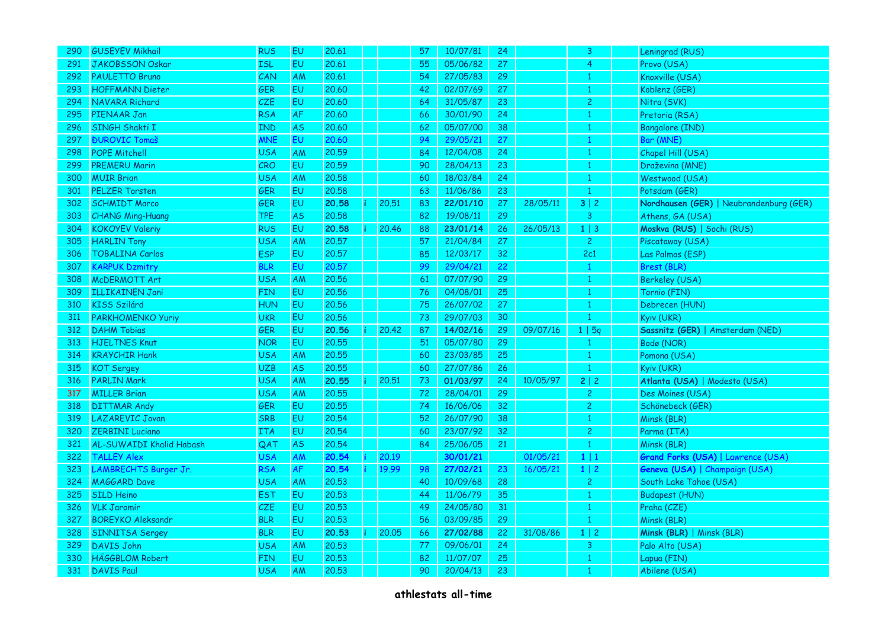| 290 | <b>GUSEYEV Mikhail</b>       | <b>RUS</b> | <b>EU</b> | 20.61 |       | 57 | 10/07/81 | 24 |          | 3              | Leningrad (RUS)                           |
|-----|------------------------------|------------|-----------|-------|-------|----|----------|----|----------|----------------|-------------------------------------------|
| 291 | <b>JAKOBSSON Oskar</b>       | <b>ISL</b> | EU        | 20.61 |       | 55 | 05/06/82 | 27 |          | 4              | Provo (USA)                               |
| 292 | <b>PAULETTO Bruno</b>        | CAN        | AM        | 20.61 |       | 54 | 27/05/83 | 29 |          |                | Knoxville (USA)                           |
| 293 | <b>HOFFMANN Dieter</b>       | GER        | EU        | 20.60 |       | 42 | 02/07/69 | 27 |          |                | Koblenz (GER)                             |
| 294 | NAVARA Richard               | <b>CZE</b> | EU        | 20.60 |       | 64 | 31/05/87 | 23 |          | $\overline{c}$ | Nitra (SVK)                               |
| 295 | PIENAAR Jan                  | <b>RSA</b> | AF        | 20.60 |       | 66 | 30/01/90 | 24 |          |                | Pretoria (RSA)                            |
| 296 | SINGH Shakti I               | <b>IND</b> | <b>AS</b> | 20,60 |       | 62 | 05/07/00 | 38 |          |                | Bangalore (IND)                           |
| 297 | <b>ĐUROVIC Tomaš</b>         | <b>MNE</b> | EU        | 20.60 |       | 94 | 29/05/21 | 27 |          |                | Bar (MNE)                                 |
| 298 | <b>POPE Mitchell</b>         | <b>USA</b> | <b>AM</b> | 20.59 |       | 84 | 12/04/08 | 24 |          | 1              | Chapel Hill (USA)                         |
| 299 | <b>PREMERU Marin</b>         | <b>CRO</b> | EU        | 20.59 |       | 90 | 28/04/13 | 23 |          | 1              | Draževina (MNE)                           |
| 300 | <b>MUIR Brian</b>            | <b>USA</b> | AM        | 20.58 |       | 60 | 18/03/84 | 24 |          |                | Westwood (USA)                            |
| 301 | <b>PELZER Torsten</b>        | <b>GER</b> | EU        | 20.58 |       | 63 | 11/06/86 | 23 |          | 1              | Potsdam (GER)                             |
| 302 | <b>SCHMIDT Marco</b>         | <b>GER</b> | EU        | 20.58 | 20.51 | 83 | 22/01/10 | 27 | 28/05/11 | 3 2            | Nordhausen (GER)   Neubrandenburg (GER)   |
| 303 | <b>CHANG Ming-Huang</b>      | TPE        | <b>AS</b> | 20.58 |       | 82 | 19/08/11 | 29 |          | 3              | Athens, GA (USA)                          |
| 304 | <b>KOKOYEV Valeriy</b>       | <b>RUS</b> | EU        | 20.58 | 20.46 | 88 | 23/01/14 | 26 | 26/05/13 | $1 \mid 3$     | Moskva (RUS)   Sochi (RUS)                |
| 305 | <b>HARLIN Tony</b>           | <b>USA</b> | AM        | 20,57 |       | 57 | 21/04/84 | 27 |          | $\overline{2}$ | Piscataway (USA)                          |
| 306 | <b>TOBALINA Carlos</b>       | <b>ESP</b> | EU        | 20.57 |       | 85 | 12/03/17 | 32 |          | 2c1            | Las Palmas (ESP)                          |
| 307 | <b>KARPUK Dzmitry</b>        | <b>BLR</b> | EU        | 20.57 |       | 99 | 29/04/21 | 22 |          | -1             | Brest (BLR)                               |
| 308 | McDERMOTT Art                | <b>USA</b> | AM        | 20.56 |       | 61 | 07/07/90 | 29 |          | 1              | <b>Berkeley (USA)</b>                     |
| 309 | <b>ILLIKAINEN Jani</b>       | <b>FIN</b> | <b>EU</b> | 20.56 |       | 76 | 04/08/01 | 25 |          |                | Tornio (FIN)                              |
| 310 | <b>KISS Szilárd</b>          | <b>HUN</b> | <b>EU</b> | 20.56 |       | 75 | 26/07/02 | 27 |          | -1             | Debrecen (HUN)                            |
| 311 | <b>PARKHOMENKO Yuriy</b>     | <b>UKR</b> | EU        | 20.56 |       | 73 | 29/07/03 | 30 |          |                | Kyiv (UKR)                                |
| 312 | <b>DAHM Tobias</b>           | <b>GER</b> | EU        | 20.56 | 20.42 | 87 | 14/02/16 | 29 | 09/07/16 | 1   5q         | Sassnitz (GER)   Amsterdam (NED)          |
| 313 | <b>HJELTNES Knut</b>         | <b>NOR</b> | EU        | 20.55 |       | 51 | 05/07/80 | 29 |          | 1              | Bodø (NOR)                                |
| 314 | <b>KRAYCHIR Hank</b>         | <b>USA</b> | AM        | 20,55 |       | 60 | 23/03/85 | 25 |          | -1             | Pomona (USA)                              |
| 315 | <b>KOT Sergey</b>            | <b>UZB</b> | <b>AS</b> | 20.55 |       | 60 | 27/07/86 | 26 |          | 1              | Kyiv (UKR)                                |
| 316 | <b>PARLIN Mark</b>           | <b>USA</b> | AM        | 20.55 | 20.51 | 73 | 01/03/97 | 24 | 10/05/97 | 2   2          | Atlanta (USA)   Modesto (USA)             |
| 317 | <b>MILLER Brian</b>          | <b>USA</b> | AM        | 20.55 |       | 72 | 28/04/01 | 29 |          | $\overline{c}$ | Des Moines (USA)                          |
| 318 | <b>DITTMAR Andy</b>          | GER        | EU        | 20.55 |       | 74 | 16/06/06 | 32 |          | $\overline{c}$ | Schönebeck (GER)                          |
| 319 | <b>LAZAREVIC Jovan</b>       | <b>SRB</b> | EU        | 20.54 |       | 52 | 26/07/90 | 38 |          |                | Minsk (BLR)                               |
| 320 | <b>ZERBINI Luciano</b>       | <b>ITA</b> | EU        | 20.54 |       | 60 | 23/07/92 | 32 |          | $\overline{c}$ | Parma (ITA)                               |
| 321 | AL-SUWAIDI Khalid Habash     | QAT        | <b>AS</b> | 20,54 |       | 84 | 25/06/05 | 21 |          | 1              | Minsk (BLR)                               |
| 322 | <b>TALLEY Alex</b>           | <b>USA</b> | AM        | 20.54 | 20.19 |    | 30/01/21 |    | 01/05/21 | 1 1            | <b>Grand Forks (USA)   Lawrence (USA)</b> |
| 323 | <b>LAMBRECHTS Burger Jr.</b> | <b>RSA</b> | <b>AF</b> | 20.54 | 19.99 | 98 | 27/02/21 | 23 | 16/05/21 | $1 \mid 2$     | Geneva (USA)   Champaign (USA)            |
| 324 | <b>MAGGARD Dave</b>          | <b>USA</b> | AM        | 20,53 |       | 40 | 10/09/68 | 28 |          | $\overline{c}$ | South Lake Tahoe (USA)                    |
| 325 | <b>SILD Heino</b>            | <b>EST</b> | EU        | 20.53 |       | 44 | 11/06/79 | 35 |          | 1              | <b>Budapest (HUN)</b>                     |
| 326 | <b>VLK Jaromir</b>           | CZE        | <b>EU</b> | 20.53 |       | 49 | 24/05/80 | 31 |          | 1              | Praha (CZE)                               |
| 327 | <b>BOREYKO Aleksandr</b>     | <b>BLR</b> | EU        | 20.53 |       | 56 | 03/09/85 | 29 |          | $\mathbf{1}$   | Minsk (BLR)                               |
| 328 | <b>SINNITSA Sergey</b>       | <b>BLR</b> | EU        | 20.53 | 20.05 | 66 | 27/02/88 | 22 | 31/08/86 | $1 \mid 2$     | Minsk (BLR)   Minsk (BLR)                 |
| 329 | <b>DAVIS John</b>            | <b>USA</b> | AM        | 20.53 |       | 77 | 09/06/01 | 24 |          | 3              | Palo Alto (USA)                           |
| 330 | <b>HÄGGBLOM Robert</b>       | <b>FIN</b> | EU        | 20.53 |       | 82 | 11/07/07 | 25 |          | -1             | Lapua (FIN)                               |
| 331 | <b>DAVIS Paul</b>            | <b>USA</b> | AM        | 20,53 |       | 90 | 20/04/13 | 23 |          | 1              | Abilene (USA)                             |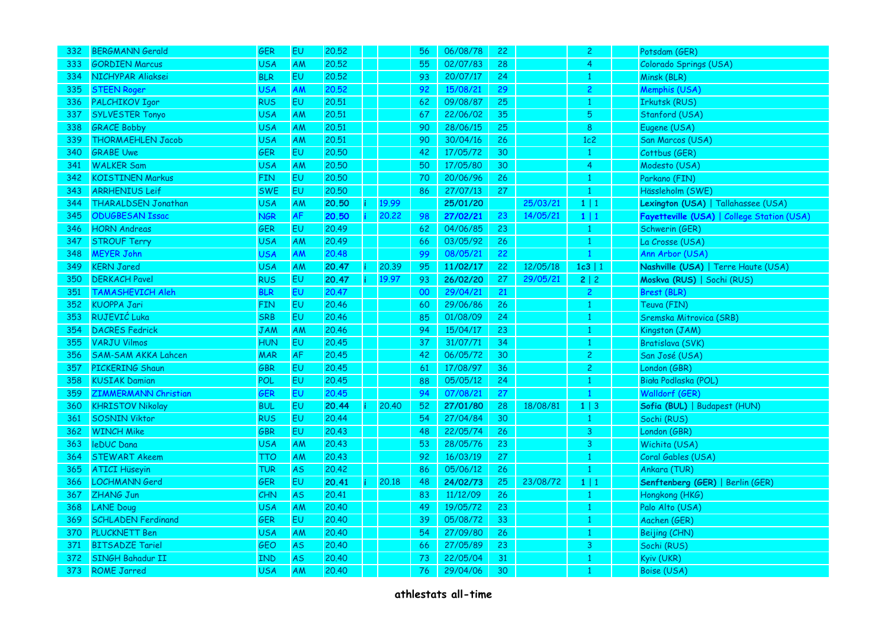| 332 | <b>BERGMANN Gerald</b>      | GER        | EU        | 20,52 |       | 56 | 06/08/78 | 22              |          | $\overline{c}$ | Potsdam (GER)                              |
|-----|-----------------------------|------------|-----------|-------|-------|----|----------|-----------------|----------|----------------|--------------------------------------------|
| 333 | <b>GORDIEN Marcus</b>       | <b>USA</b> | AM        | 20.52 |       | 55 | 02/07/83 | 28              |          | 4              | Colorado Springs (USA)                     |
| 334 | NICHYPAR Aliaksei           | <b>BLR</b> | EU        | 20.52 |       | 93 | 20/07/17 | 24              |          |                | Minsk (BLR)                                |
| 335 | <b>STEEN Roger</b>          | USA        | <b>AM</b> | 20.52 |       | 92 | 15/08/21 | 29              |          | 2              | Memphis (USA)                              |
| 336 | <b>PALCHIKOV Igor</b>       | <b>RUS</b> | EU        | 20.51 |       | 62 | 09/08/87 | 25 <sub>2</sub> |          | 1              | Irkutsk (RUS)                              |
| 337 | <b>SYLVESTER Tonyo</b>      | <b>USA</b> | AM        | 20.51 |       | 67 | 22/06/02 | 35              |          | 5              | Stanford (USA)                             |
| 338 | <b>GRACE Bobby</b>          | <b>USA</b> | AM        | 20,51 |       | 90 | 28/06/15 | 25              |          | 8              | Eugene (USA)                               |
| 339 | <b>THORMAEHLEN Jacob</b>    | <b>USA</b> | AM        | 20.51 |       | 90 | 30/04/16 | 26              |          | 1c2            | San Marcos (USA)                           |
| 340 | <b>GRABE Uwe</b>            | <b>GER</b> | <b>EU</b> | 20,50 |       | 42 | 17/05/72 | 30              |          | -1             | Cottbus (GER)                              |
| 341 | <b>WALKER Sam</b>           | <b>USA</b> | AM        | 20,50 |       | 50 | 17/05/80 | 30              |          | $\overline{4}$ | Modesto (USA)                              |
| 342 | <b>KOISTINEN Markus</b>     | <b>FIN</b> | EU        | 20,50 |       | 70 | 20/06/96 | 26              |          |                | Parkano (FIN)                              |
| 343 | <b>ARRHENIUS Leif</b>       | <b>SWE</b> | EU        | 20.50 |       | 86 | 27/07/13 | 27              |          |                | Hässleholm (SWE)                           |
| 344 | <b>THARALDSEN Jonathan</b>  | <b>USA</b> | <b>AM</b> | 20.50 | 19.99 |    | 25/01/20 |                 | 25/03/21 | $1 \mid 1$     | Lexington (USA)   Tallahassee (USA)        |
| 345 | <b>ODUGBESAN Issac</b>      | <b>NGR</b> | <b>AF</b> | 20.50 | 20,22 | 98 | 27/02/21 | 23              | 14/05/21 | $1 \mid 1$     | Fayetteville (USA)   College Station (USA) |
| 346 | <b>HORN Andreas</b>         | <b>GER</b> | EU        | 20.49 |       | 62 | 04/06/85 | 23              |          | $\mathbf{1}$   | Schwerin (GER)                             |
| 347 | <b>STROUF Terry</b>         | <b>USA</b> | AM        | 20.49 |       | 66 | 03/05/92 | 26              |          |                | La Crosse (USA)                            |
| 348 | <b>MEYER John</b>           | <b>USA</b> | AM        | 20.48 |       | 99 | 08/05/21 | 22              |          | 1              | Ann Arbor (USA)                            |
| 349 | <b>KERN Jared</b>           | <b>USA</b> | <b>AM</b> | 20.47 | 20.39 | 95 | 11/02/17 | 22              | 12/05/18 | 1c3 1          | Nashville (USA)   Terre Haute (USA)        |
| 350 | <b>DERKACH Pavel</b>        | <b>RUS</b> | EU        | 20.47 | 19.97 | 93 | 26/02/20 | 27              | 29/05/21 | 2 2            | Moskva (RUS)   Sochi (RUS)                 |
| 351 | TAMASHEVICH Aleh            | <b>BLR</b> | EU        | 20.47 |       | 00 | 29/04/21 | 21              |          | $\overline{2}$ | <b>Brest (BLR)</b>                         |
| 352 | <b>KUOPPA Jari</b>          | <b>FIN</b> | EU        | 20.46 |       | 60 | 29/06/86 | 26              |          | 1              | Teuva (FIN)                                |
| 353 | RUJEVIĆ Luka                | <b>SRB</b> | EU        | 20.46 |       | 85 | 01/08/09 | 24              |          | 1              | Sremska Mitrovica (SRB)                    |
| 354 | <b>DACRES Fedrick</b>       | <b>JAM</b> | AM        | 20.46 |       | 94 | 15/04/17 | 23              |          | 1              | Kingston (JAM)                             |
| 355 | <b>VARJU Vilmos</b>         | <b>HUN</b> | EU        | 20.45 |       | 37 | 31/07/71 | 34              |          |                | Bratislava (SVK)                           |
| 356 | <b>SAM-SAM AKKA Lahcen</b>  | <b>MAR</b> | <b>AF</b> | 20,45 |       | 42 | 06/05/72 | 30              |          | $\overline{c}$ | San José (USA)                             |
| 357 | PICKERING Shaun             | <b>GBR</b> | EU        | 20.45 |       | 61 | 17/08/97 | 36              |          | $\overline{c}$ | London (GBR)                               |
| 358 | <b>KUSIAK Damian</b>        | POL        | EU        | 20,45 |       | 88 | 05/05/12 | 24              |          | 1              | Biała Podlaska (POL)                       |
| 359 | <b>ZIMMERMANN Christian</b> | GER        | EU        | 20.45 |       | 94 | 07/08/21 | 27              |          | $\mathbf{1}$   | Walldorf (GER)                             |
| 360 | <b>KHRISTOV Nikolay</b>     | <b>BUL</b> | EU        | 20.44 | 20.40 | 52 | 27/01/80 | 28              | 18/08/81 | $1 \mid 3$     | Sofia (BUL)   Budapest (HUN)               |
| 361 | <b>SOSNIN Viktor</b>        | <b>RUS</b> | EU        | 20.44 |       | 54 | 27/04/84 | 30              |          | $\mathbf{1}$   | Sochi (RUS)                                |
| 362 | <b>WINCH Mike</b>           | GBR        | EU        | 20.43 |       | 48 | 22/05/74 | 26              |          | 3              | London (GBR)                               |
| 363 | <b>leDUC</b> Dana           | <b>USA</b> | AM        | 20.43 |       | 53 | 28/05/76 | 23              |          | 3              | Wichita (USA)                              |
| 364 | <b>STEWART Akeem</b>        | TTO        | AM        | 20.43 |       | 92 | 16/03/19 | 27              |          | $\overline{1}$ | Coral Gables (USA)                         |
| 365 | <b>ATICI Hüseyin</b>        | TUR        | <b>AS</b> | 20,42 |       | 86 | 05/06/12 | 26              |          | -1             | Ankara (TUR)                               |
| 366 | LOCHMANN Gerd               | GER        | EU        | 20.41 | 20.18 | 48 | 24/02/73 | 25              | 23/08/72 | $1 \mid 1$     | Senftenberg (GER)   Berlin (GER)           |
| 367 | ZHANG Jun                   | <b>CHN</b> | <b>AS</b> | 20.41 |       | 83 | 11/12/09 | 26              |          | 1              | Hongkong (HKG)                             |
| 368 | <b>LANE Doug</b>            | <b>USA</b> | AM        | 20,40 |       | 49 | 19/05/72 | 23              |          | 1              | Palo Alto (USA)                            |
| 369 | <b>SCHLADEN Ferdinand</b>   | GER        | EU        | 20.40 |       | 39 | 05/08/72 | 33              |          |                | Aachen (GER)                               |
| 370 | <b>PLUCKNETT Ben</b>        | <b>USA</b> | AM        | 20.40 |       | 54 | 27/09/80 | 26              |          |                | Beijing (CHN)                              |
| 371 | <b>BITSADZE Tariel</b>      | GEO        | <b>AS</b> | 20.40 |       | 66 | 27/05/89 | 23              |          | 3              | Sochi (RUS)                                |
| 372 | <b>SINGH Bahadur II</b>     | <b>IND</b> | <b>AS</b> | 20,40 |       | 73 | 22/05/04 | 31              |          | 1              | Kyiv (UKR)                                 |
| 373 | <b>ROME Jarred</b>          | <b>USA</b> | AM        | 20,40 |       | 76 | 29/04/06 | 30              |          | 1              | Boise (USA)                                |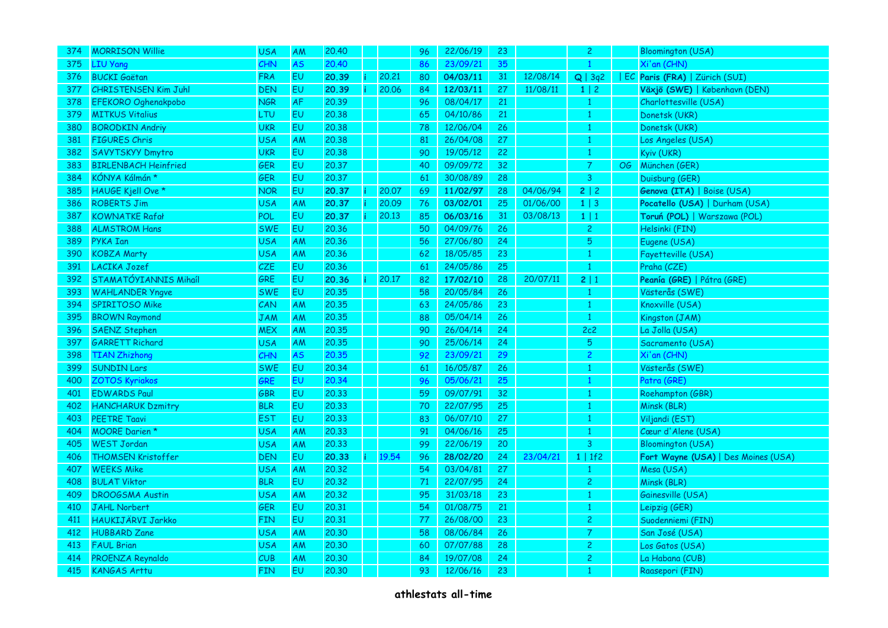| 374 | <b>MORRISON Willie</b>      | <b>USA</b> | AM        | 20,40 |       | 96  | 22/06/19 | 23 |          | $\overline{2}$ |    | <b>Bloomington (USA)</b>            |
|-----|-----------------------------|------------|-----------|-------|-------|-----|----------|----|----------|----------------|----|-------------------------------------|
| 375 | <b>LIU Yang</b>             | CHN        | <b>AS</b> | 20,40 |       | 86  | 23/09/21 | 35 |          | $\mathbf{1}$   |    | Xi'an (CHN)                         |
| 376 | <b>BUCKI Gaëtan</b>         | <b>FRA</b> | EU        | 20.39 | 20.21 | 80  | 04/03/11 | 31 | 12/08/14 | Q   3q2        |    | EC Paris (FRA)   Zürich (SUI)       |
| 377 | <b>CHRISTENSEN Kim Juhl</b> | <b>DEN</b> | EU        | 20.39 | 20.06 | 84  | 12/03/11 | 27 | 11/08/11 | $1 \mid 2$     |    | Växjö (SWE)   København (DEN)       |
| 378 | <b>EFEKORO Oghenakpobo</b>  | <b>NGR</b> | <b>AF</b> | 20,39 |       | 96  | 08/04/17 | 21 |          | $\mathbf{1}$   |    | Charlottesville (USA)               |
| 379 | <b>MITKUS Vitalius</b>      | LTU        | EU        | 20.38 |       | 65  | 04/10/86 | 21 |          | $\mathbf{1}$   |    | Donetsk (UKR)                       |
| 380 | <b>BORODKIN Andriv</b>      | <b>UKR</b> | <b>EU</b> | 20,38 |       | 78  | 12/06/04 | 26 |          | $\mathbf{1}$   |    | Donetsk (UKR)                       |
| 381 | <b>FIGURES Chris</b>        | <b>USA</b> | AM        | 20.38 |       | 81  | 26/04/08 | 27 |          | 1              |    | Los Angeles (USA)                   |
| 382 | <b>SAVYTSKYY Dmytro</b>     | <b>UKR</b> | EU.       | 20,38 |       | 90  | 19/05/12 | 22 |          | 1              |    | Kyiv (UKR)                          |
| 383 | <b>BIRLENBACH Heinfried</b> | <b>GER</b> | EU        | 20.37 |       | 40  | 09/09/72 | 32 |          | $\overline{7}$ | OG | München (GER)                       |
| 384 | KÓNYA Kálmán*               | <b>GER</b> | EU        | 20,37 |       | -61 | 30/08/89 | 28 |          | 3              |    | Duisburg (GER)                      |
| 385 | HAUGE Kjell Ove *           | <b>NOR</b> | EU        | 20.37 | 20.07 | 69  | 11/02/97 | 28 | 04/06/94 | 2   2          |    | Genova (ITA)   Boise (USA)          |
| 386 | <b>ROBERTS Jim</b>          | <b>USA</b> | AM        | 20.37 | 20.09 | 76  | 03/02/01 | 25 | 01/06/00 | $1 \mid 3$     |    | Pocatello (USA)   Durham (USA)      |
| 387 | <b>KOWNATKE Rafał</b>       | POL        | EU        | 20.37 | 20.13 | 85  | 06/03/16 | 31 | 03/08/13 | $1 \mid 1$     |    | Toruń (POL)   Warszawa (POL)        |
| 388 | <b>ALMSTROM Hans</b>        | <b>SWE</b> | EU        | 20.36 |       | 50  | 04/09/76 | 26 |          | $\overline{c}$ |    | Helsinki (FIN)                      |
| 389 | PYKA Ian                    | <b>USA</b> | <b>AM</b> | 20.36 |       | 56  | 27/06/80 | 24 |          | 5              |    | Eugene (USA)                        |
| 390 | <b>KOBZA Marty</b>          | <b>USA</b> | AM        | 20.36 |       | 62  | 18/05/85 | 23 |          | 1              |    | Fayetteville (USA)                  |
| 391 | LACIKA Jozef                | <b>CZE</b> | EU.       | 20,36 |       | 61  | 24/05/86 | 25 |          | $\mathbf{1}$   |    | Praha (CZE)                         |
| 392 | STAMATÓYIANNIS Mihaíl       | GRE        | EU        | 20.36 | 20.17 | 82  | 17/02/10 | 28 | 20/07/11 | 2 1            |    | Peanía (GRE)   Pátra (GRE)          |
| 393 | <b>WAHLANDER Yngve</b>      | <b>SWE</b> | EU        | 20.35 |       | 58  | 20/05/84 | 26 |          | 1              |    | Västerås (SWE)                      |
| 394 | <b>SPIRITOSO Mike</b>       | CAN        | AM        | 20.35 |       | 63  | 24/05/86 | 23 |          | $\mathbf{1}$   |    | Knoxville (USA)                     |
| 395 | <b>BROWN Raymond</b>        | JAM        | <b>AM</b> | 20.35 |       | 88  | 05/04/14 | 26 |          | -1             |    | Kingston (JAM)                      |
| 396 | <b>SAENZ Stephen</b>        | <b>MEX</b> | <b>AM</b> | 20.35 |       | 90  | 26/04/14 | 24 |          | 2c2            |    | La Jolla (USA)                      |
| 397 | <b>GARRETT Richard</b>      | <b>USA</b> | AM        | 20.35 |       | 90  | 25/06/14 | 24 |          | 5              |    | Sacramento (USA)                    |
| 398 | <b>TIAN Zhizhong</b>        | CHN        | <b>AS</b> | 20,35 |       | 92  | 23/09/21 | 29 |          | $\overline{c}$ |    | Xi'an (CHN)                         |
| 399 | <b>SUNDIN Lars</b>          | <b>SWE</b> | EU        | 20.34 |       | 61  | 16/05/87 | 26 |          | 1              |    | Västerås (SWE)                      |
| 400 | <b>ZOTOS Kyriakos</b>       | GRE        | EU        | 20.34 |       | 96  | 05/06/21 | 25 |          | 1              |    | Patra (GRE)                         |
| 401 | <b>EDWARDS Paul</b>         | GBR        | EU        | 20.33 |       | 59  | 09/07/91 | 32 |          | $\mathbf{1}$   |    | Roehampton (GBR)                    |
| 402 | <b>HANCHARUK Dzmitry</b>    | <b>BLR</b> | <b>EU</b> | 20,33 |       | 70  | 22/07/95 | 25 |          | $\mathbf{1}$   |    | Minsk (BLR)                         |
| 403 | <b>PEETRE Taavi</b>         | <b>EST</b> | EU        | 20,33 |       | 83  | 06/07/10 | 27 |          | -1             |    | Viljandi (EST)                      |
| 404 | <b>MOORE Darien *</b>       | <b>USA</b> | AM        | 20.33 |       | 91  | 04/06/16 | 25 |          | 1              |    | Cœur d'Alene (USA)                  |
| 405 | <b>WEST Jordan</b>          | <b>USA</b> | AM        | 20.33 |       | 99  | 22/06/19 | 20 |          | 3              |    | <b>Bloomington (USA)</b>            |
| 406 | <b>THOMSEN Kristoffer</b>   | <b>DEN</b> | EU        | 20.33 | 19.54 | 96  | 28/02/20 | 24 | 23/04/21 | 1   1f2        |    | Fort Wayne (USA)   Des Moines (USA) |
| 407 | <b>WEEKS Mike</b>           | <b>USA</b> | <b>AM</b> | 20,32 |       | 54  | 03/04/81 | 27 |          | 1              |    | Mesa (USA)                          |
| 408 | <b>BULAT Viktor</b>         | <b>BLR</b> | EU        | 20,32 |       | 71  | 22/07/95 | 24 |          | $\overline{c}$ |    | Minsk (BLR)                         |
| 409 | <b>DROOGSMA Austin</b>      | <b>USA</b> | <b>AM</b> | 20.32 |       | 95  | 31/03/18 | 23 |          | 1              |    | Gainesville (USA)                   |
| 410 | <b>JAHL Norbert</b>         | <b>GER</b> | <b>EU</b> | 20,31 |       | 54  | 01/08/75 | 21 |          | $\mathbf{1}$   |    | Leipzig (GER)                       |
| 411 | HAUKIJÄRVI Jarkko           | <b>FIN</b> | <b>EU</b> | 20,31 |       | 77  | 26/08/00 | 23 |          | 2              |    | Suodenniemi (FIN)                   |
| 412 | <b>HUBBARD Zane</b>         | <b>USA</b> | <b>AM</b> | 20,30 |       | 58  | 08/06/84 | 26 |          | $\overline{7}$ |    | San José (USA)                      |
| 413 | <b>FAUL Brian</b>           | <b>USA</b> | AM        | 20,30 |       | 60  | 07/07/88 | 28 |          | $\overline{c}$ |    | Los Gatos (USA)                     |
| 414 | PROENZA Reynaldo            | CUB        | <b>AM</b> | 20,30 |       | 84  | 19/07/08 | 24 |          | $\overline{c}$ |    | La Habana (CUB)                     |
| 415 | <b>KANGAS Arttu</b>         | <b>FIN</b> | EU        | 20.30 |       | 93  | 12/06/16 | 23 |          | 1              |    | Raasepori (FIN)                     |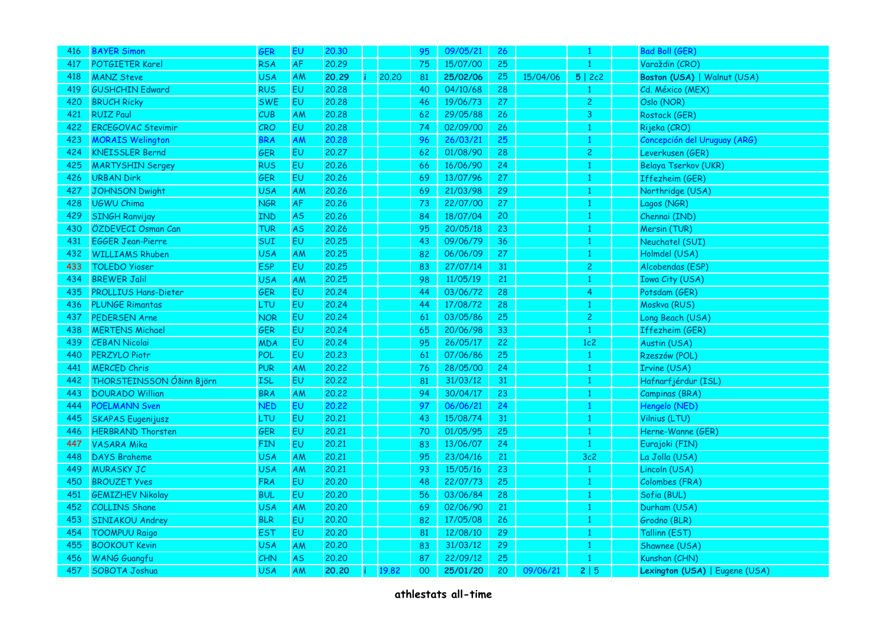| 416. | <b>BAYER Simon</b>          | <b>GER</b> | EU             | 20,30 |       | 95 | 09/05/21 | 26 |          | 1              | <b>Bad Boll (GER)</b>          |
|------|-----------------------------|------------|----------------|-------|-------|----|----------|----|----------|----------------|--------------------------------|
| 417  | POTGIETER Karel             | <b>RSA</b> | <b>AF</b>      | 20,29 |       | 75 | 15/07/00 | 25 |          | 1              | Varaždin (CRO)                 |
| 418  | <b>MANZ Steve</b>           | <b>USA</b> | AM             | 20.29 | 20,20 | 81 | 25/02/06 | 25 | 15/04/06 | 5 2c2          | Boston (USA)   Walnut (USA)    |
| 419  | <b>GUSHCHIN Edward</b>      | <b>RUS</b> | EU             | 20,28 |       | 40 | 04/10/68 | 28 |          |                | Cd. México (MEX)               |
| 420  | <b>BRUCH Ricky</b>          | <b>SWE</b> | EU             | 20,28 |       | 46 | 19/06/73 | 27 |          | $\overline{c}$ | Oslo (NOR)                     |
| 421  | <b>RUIZ Paul</b>            | CUB        | AM             | 20,28 |       | 62 | 29/05/88 | 26 |          | 3              | Rostock (GER)                  |
| 422  | ERCEGOVAC Stevimir          | CRO        | EU             | 20,28 |       | 74 | 02/09/00 | 26 |          | 1              | Rijeka (CRO)                   |
| 423  | <b>MORAIS Welington</b>     | <b>BRA</b> | AM             | 20,28 |       | 96 | 26/03/21 | 25 |          | 1              | Concepción del Uruguay (ARG)   |
| 424  | <b>KNEISSLER Bernd</b>      | GER        | EU.            | 20,27 |       | 62 | 01/08/90 | 28 |          | $\overline{c}$ | Leverkusen (GER)               |
| 425  | <b>MARTYSHIN Sergey</b>     | <b>RUS</b> | EU             | 20.26 |       | 66 | 16/06/90 | 24 |          | $\mathbf{1}$   | <b>Belaya Tserkov (UKR)</b>    |
| 426  | <b>URBAN Dirk</b>           | GER        | EU             | 20,26 |       | 69 | 13/07/96 | 27 |          | 1              | Iffezheim (GER)                |
| 427  | <b>JOHNSON Dwight</b>       | <b>USA</b> | <b>AM</b>      | 20,26 |       | 69 | 21/03/98 | 29 |          | $\mathbf{1}$   | Northridge (USA)               |
| 428  | UGWU Chima                  | <b>NGR</b> | <b>AF</b>      | 20,26 |       | 73 | 22/07/00 | 27 |          | $\mathbf{1}$   | Lagos (NGR)                    |
| 429  | <b>SINGH Ranvijay</b>       | <b>IND</b> | <b>AS</b>      | 20.26 |       | 84 | 18/07/04 | 20 |          | 1              | Chennai (IND)                  |
| 430  | ÖZDEVECI Osman Can          | <b>TUR</b> | <b>AS</b>      | 20,26 |       | 95 | 20/05/18 | 23 |          | $\mathbf{1}$   | Mersin (TUR)                   |
| 431  | <b>EGGER Jean-Pierre</b>    | SUI        | E <sub>U</sub> | 20,25 |       | 43 | 09/06/79 | 36 |          | 1              | Neuchatel (SUI)                |
| 432  | <b>WILLIAMS Rhuben</b>      | <b>USA</b> | AM             | 20,25 |       | 82 | 06/06/09 | 27 |          | 1              | Holmdel (USA)                  |
| 433  | <b>TOLEDO Yioser</b>        | <b>ESP</b> | EU             | 20,25 |       | 83 | 27/07/14 | 31 |          | 2              | Alcobendas (ESP)               |
| 434  | <b>BREWER Jalil</b>         | <b>USA</b> | AM             | 20.25 |       | 98 | 11/05/19 | 21 |          | $\mathbf{1}$   | <b>Iowa City (USA)</b>         |
| 435  | <b>PROLLIUS Hans-Dieter</b> | <b>GER</b> | EU.            | 20.24 |       | 44 | 03/06/72 | 28 |          | 4              | Potsdam (GER)                  |
| 436  | <b>PLUNGE Rimantas</b>      | LTU        | EU             | 20,24 |       | 44 | 17/08/72 | 28 |          | 1              | Moskva (RUS)                   |
| 437  | <b>PEDERSEN Arne</b>        | <b>NOR</b> | EU             | 20,24 |       | 61 | 03/05/86 | 25 |          | $\overline{c}$ | Long Beach (USA)               |
| 438  | <b>MERTENS Michael</b>      | <b>GER</b> | EU             | 20,24 |       | 65 | 20/06/98 | 33 |          | $\mathbf{1}$   | Iffezheim (GER)                |
| 439  | <b>CEBAN Nicolai</b>        | <b>MDA</b> | EU             | 20.24 |       | 95 | 26/05/17 | 22 |          | 1c2            | Austin (USA)                   |
| 440  | <b>PERZYLO Piotr</b>        | POL        | EU             | 20,23 |       | 61 | 07/06/86 | 25 |          | 1              | Rzeszów (POL)                  |
| 441  | <b>MERCED Chris</b>         | <b>PUR</b> | <b>AM</b>      | 20,22 |       | 76 | 28/05/00 | 24 |          | 1              | Irvine (USA)                   |
| 442  | THORSTEINSSON Óðinn Björn   | <b>ISL</b> | EU             | 20,22 |       | 81 | 31/03/12 | 31 |          | 1              | Hafnarfjérdur (ISL)            |
| 443  | DOURADO Willian             | <b>BRA</b> | AM             | 20,22 |       | 94 | 30/04/17 | 23 |          | $\mathbf{1}$   | Campinas (BRA)                 |
| 444  | <b>POELMANN Sven</b>        | <b>NED</b> | EU             | 20,22 |       | 97 | 06/06/21 | 24 |          | 1              | Hengelo (NED)                  |
| 445  | <b>SKAPAS Eugenijusz</b>    | LTU        | EU             | 20,21 |       | 43 | 15/08/74 | 31 |          | 1              | Vilnius (LTU)                  |
| 446  | <b>HERBRAND Thorsten</b>    | GER        | EU             | 20,21 |       | 70 | 01/05/95 | 25 |          | 1              | Herne-Wanne (GER)              |
| 447  | <b>VASARA Mika</b>          | <b>FIN</b> | EU             | 20,21 |       | 83 | 13/06/07 | 24 |          | $\mathbf{1}$   | Eurajoki (FIN)                 |
| 448  | <b>DAYS Braheme</b>         | <b>USA</b> | AM             | 20,21 |       | 95 | 23/04/16 | 21 |          | 3c2            | La Jolla (USA)                 |
| 449  | <b>MURASKY JC</b>           | <b>USA</b> | <b>AM</b>      | 20.21 |       | 93 | 15/05/16 | 23 |          | 1              | Lincoln (USA)                  |
| 450  | <b>BROUZET Yves</b>         | <b>FRA</b> | <b>EU</b>      | 20,20 |       | 48 | 22/07/73 | 25 |          | $\mathbf{1}$   | Colombes (FRA)                 |
| 451  | <b>GEMIZHEV Nikolay</b>     | <b>BUL</b> | EU             | 20,20 |       | 56 | 03/06/84 | 28 |          | 1              | Sofia (BUL)                    |
| 452  | <b>COLLINS Shane</b>        | <b>USA</b> | AM             | 20,20 |       | 69 | 02/06/90 | 21 |          | $\mathbf{1}$   | Durham (USA)                   |
| 453  | <b>SINIAKOU Andrey</b>      | <b>BLR</b> | EU             | 20,20 |       | 82 | 17/05/08 | 26 |          | 1              | Grodno (BLR)                   |
| 454  | <b>TOOMPUU Raigo</b>        | <b>EST</b> | EU             | 20,20 |       | 81 | 12/08/10 | 29 |          | 1              | Tallinn (EST)                  |
| 455  | <b>BOOKOUT Kevin</b>        | <b>USA</b> | <b>AM</b>      | 20,20 |       | 83 | 31/03/12 | 29 |          | 1              | Shawnee (USA)                  |
| 456  | <b>WANG Guangfu</b>         | CHN        | <b>AS</b>      | 20,20 |       | 87 | 22/09/12 | 25 |          | 1              | Kunshan (CHN)                  |
| 457  | SOBOTA Joshua               | <b>USA</b> | <b>AM</b>      | 20,20 | 19,82 | 00 | 25/01/20 | 20 | 09/06/21 | 2 5            | Lexington (USA)   Eugene (USA) |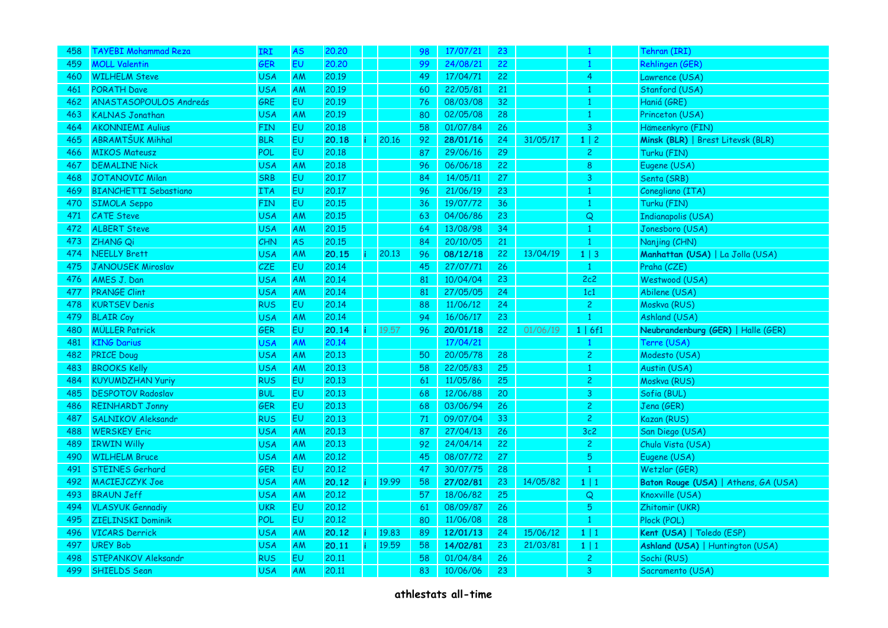| 458 | <b>TAYEBI Mohammad Reza</b>                | IRI                      | <b>AS</b> | 20,20          |                    | 98 | 17/07/21             | 23 |          | 1              | Tehran (IRI)                         |
|-----|--------------------------------------------|--------------------------|-----------|----------------|--------------------|----|----------------------|----|----------|----------------|--------------------------------------|
| 459 | <b>MOLL Valentin</b>                       | GER                      | <b>EU</b> | 20,20          |                    | 99 | 24/08/21             | 22 |          | -1             | Rehlingen (GER)                      |
| 460 | <b>WILHELM Steve</b>                       | <b>USA</b>               | AM        | 20.19          |                    | 49 | 17/04/71             | 22 |          | $\overline{4}$ | Lawrence (USA)                       |
| 461 | <b>PORATH Dave</b>                         | <b>USA</b>               | AM        | 20.19          |                    | 60 | 22/05/81             | 21 |          | 1              | Stanford (USA)                       |
| 462 | ANASTASOPOULOS Andreás                     | GRE                      | <b>EU</b> | 20.19          |                    | 76 | 08/03/08             | 32 |          | 1              | Haniá (GRE)                          |
| 463 | <b>KALNAS Jonathan</b>                     | <b>USA</b>               | AM        | 20.19          |                    | 80 | 02/05/08             | 28 |          | $\mathbf{1}$   | Princeton (USA)                      |
| 464 | <b>AKONNIEMI Aulius</b>                    | <b>FIN</b>               | EU        | 20.18          |                    | 58 | 01/07/84             | 26 |          | 3              | Hämeenkyro (FIN)                     |
| 465 | <b>ABRAMTŠUK Mihhal</b>                    | <b>BLR</b>               | EU        | 20.18          | 20.16              | 92 | 28/01/16             | 24 | 31/05/17 | $1 \mid 2$     | Minsk (BLR)   Brest Litevsk (BLR)    |
| 466 | <b>MIKOS Mateusz</b>                       | POL                      | EV        | 20.18          |                    | 87 | 29/06/16             | 29 |          | $\overline{c}$ | Turku (FIN)                          |
| 467 | <b>DEMALINE Nick</b>                       | <b>USA</b>               | AM        | 20.18          |                    | 96 | 06/06/18             | 22 |          | $\bf 8$        | Eugene (USA)                         |
| 468 | <b>JOTANOVIC Milan</b>                     | <b>SRB</b>               | <b>EU</b> | 20.17          |                    | 84 | 14/05/11             | 27 |          | 3              | Senta (SRB)                          |
| 469 | <b>BIANCHETTI Sebastiano</b>               | <b>ITA</b>               | EU        | 20.17          |                    | 96 | 21/06/19             | 23 |          | 1              | Conegliano (ITA)                     |
| 470 | <b>SIMOLA Seppo</b>                        | <b>FIN</b>               | EU        | 20.15          |                    | 36 | 19/07/72             | 36 |          | 1              | Turku (FIN)                          |
| 471 | <b>CATE Steve</b>                          | <b>USA</b>               | AM        | 20.15          |                    | 63 | 04/06/86             | 23 |          | Q              | <b>Indianapolis (USA)</b>            |
| 472 | <b>ALBERT Steve</b>                        | <b>USA</b>               | AM        | 20.15          |                    | 64 | 13/08/98             | 34 |          | 1              | Jonesboro (USA)                      |
| 473 | <b>ZHANG Qi</b>                            | CHN                      | <b>AS</b> | 20.15          |                    | 84 | 20/10/05             | 21 |          | 1              | Nanjing (CHN)                        |
| 474 | <b>NEELLY Brett</b>                        | <b>USA</b>               | AM        | 20.15          | 20.13              | 96 | 08/12/18             | 22 | 13/04/19 | $1 \mid 3$     | Manhattan (USA)   La Jolla (USA)     |
| 475 | JANOUSEK Miroslav                          | <b>CZE</b>               | EU.       | 20.14          |                    | 45 | 27/07/71             | 26 |          | $\mathbf{1}$   | Praha (CZE)                          |
| 476 | AMES J. Dan                                | <b>USA</b>               | AM        | 20.14          |                    | 81 | 10/04/04             | 23 |          | 2c2            | Westwood (USA)                       |
| 477 | <b>PRANGE Clint</b>                        | <b>USA</b>               | AM        | 20.14          |                    | 81 | 27/05/05             | 24 |          | 1c1            | Abilene (USA)                        |
| 478 | <b>KURTSEV Denis</b>                       | <b>RUS</b>               | EU        | 20.14          |                    | 88 | 11/06/12             | 24 |          | $\overline{c}$ | Moskva (RUS)                         |
| 479 | <b>BLAIR Coy</b>                           | <b>USA</b>               | AM        | 20.14          |                    | 94 | 16/06/17             | 23 |          | 1              | Ashland (USA)                        |
| 480 | <b>MÜLLER Patrick</b>                      | <b>GER</b>               | <b>EU</b> | 20.14          | $\mathsf{i}$ 19.57 | 96 | 20/01/18             | 22 | 01/06/19 | 1   6f1        | Neubrandenburg (GER)   Halle (GER)   |
|     | <b>KING Darius</b>                         | <b>USA</b>               | AM        | 20.14          |                    |    | 17/04/21             |    |          |                | Terre (USA)                          |
| 481 |                                            |                          |           |                |                    |    |                      |    |          |                |                                      |
| 482 | <b>PRICE Doug</b>                          | <b>USA</b>               | AM        | 20.13          |                    | 50 | 20/05/78             | 28 |          | $\overline{c}$ | Modesto (USA)                        |
| 483 | <b>BROOKS Kelly</b>                        | <b>USA</b>               | AM        | 20.13          |                    | 58 | 22/05/83             | 25 |          | $\mathbf{1}$   | Austin (USA)                         |
| 484 | <b>KUYUMDZHAN Yuriy</b>                    | <b>RUS</b>               | EU.       | 20.13          |                    | 61 | 11/05/86             | 25 |          | $\overline{c}$ | Moskva (RUS)                         |
| 485 | <b>DESPOTOV Radoslav</b>                   | <b>BUL</b>               | EU        | 20.13          |                    | 68 | 12/06/88             | 20 |          | 3              | Sofia (BUL)                          |
| 486 | <b>REINHARDT Jonny</b>                     | <b>GER</b>               | EU        | 20.13          |                    | 68 | 03/06/94             | 26 |          | $\overline{c}$ | Jena (GER)                           |
| 487 | <b>SALNIKOV Aleksandr</b>                  | <b>RUS</b>               | EU        | 20.13          |                    | 71 | 09/07/04             | 33 |          | $\overline{c}$ | Kazan (RUS)                          |
| 488 | <b>WERSKEY Eric</b>                        | <b>USA</b>               | AM        | 20.13          |                    | 87 | 27/04/13             | 26 |          | 3c2            | San Diego (USA)                      |
| 489 | <b>IRWIN Willy</b>                         | <b>USA</b>               | AM        | 20.13          |                    | 92 | 24/04/14             | 22 |          | $\overline{c}$ | Chula Vista (USA)                    |
| 490 | <b>WILHELM Bruce</b>                       | <b>USA</b>               | AM        | 20.12          |                    | 45 | 08/07/72             | 27 |          | 5              | Eugene (USA)                         |
| 491 | STEINES Gerhard                            | GER                      | <b>EU</b> | 20.12          |                    | 47 | 30/07/75             | 28 |          | -1             | Wetzlar (GER)                        |
| 492 | MACIEJCZYK Joe                             | <b>USA</b>               | AM        | 20.12          | 19.99              | 58 | 27/02/81             | 23 | 14/05/82 | 1 1            | Baton Rouge (USA)   Athens, GA (USA) |
| 493 | <b>BRAUN Jeff</b>                          | <b>USA</b>               | <b>AM</b> | 20,12          |                    | 57 | 18/06/82             | 25 |          | $\mathsf Q$    | Knoxville (USA)                      |
| 494 | <b>VLASYUK Gennadiy</b>                    | <b>UKR</b>               | EU        | 20.12          |                    | 61 | 08/09/87             | 26 |          | $\overline{5}$ | Zhitomir (UKR)                       |
| 495 | <b>ZIELINSKI Dominik</b>                   | <b>POL</b>               | <b>EU</b> | 20.12          |                    | 80 | 11/06/08             | 28 |          | $\mathbf{1}$   | Plock (POL)                          |
| 496 | <b>VICARS Derrick</b>                      | <b>USA</b>               | AM        | 20.12          | 19.83              | 89 | 12/01/13             | 24 | 15/06/12 | $1 \mid 1$     | Kent (USA)   Toledo (ESP)            |
| 497 | <b>UREY Bob</b>                            | <b>USA</b>               | AM        | 20.11          | 19.59              | 58 | 14/02/81             | 23 | 21/03/81 | $1 \mid 1$     | Ashland (USA)   Huntington (USA)     |
| 498 | STEPANKOV Aleksandr<br><b>SHIELDS Sean</b> | <b>RUS</b><br><b>USA</b> | EU.       | 20.11<br>20.11 |                    | 58 | 01/04/84<br>10/06/06 | 26 |          | $\overline{c}$ | Sochi (RUS)                          |